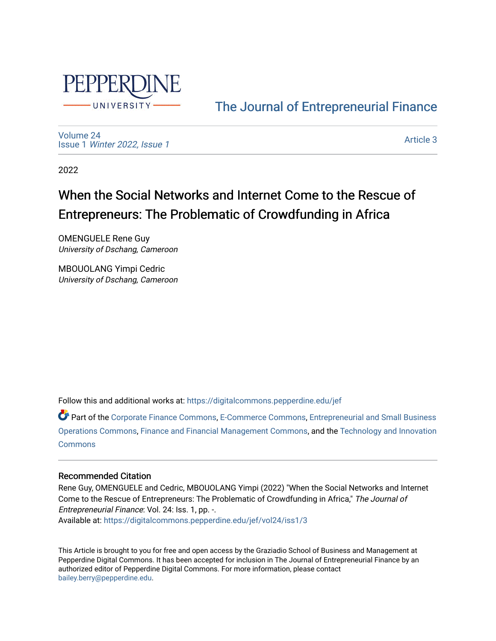

## [The Journal of Entrepreneurial Finance](https://digitalcommons.pepperdine.edu/jef)

[Volume 24](https://digitalcommons.pepperdine.edu/jef/vol24) Issue 1 [Winter 2022, Issue 1](https://digitalcommons.pepperdine.edu/jef/vol24/iss1) 

[Article 3](https://digitalcommons.pepperdine.edu/jef/vol24/iss1/3) 

2022

# When the Social Networks and Internet Come to the Rescue of Entrepreneurs: The Problematic of Crowdfunding in Africa

OMENGUELE Rene Guy University of Dschang, Cameroon

MBOUOLANG Yimpi Cedric University of Dschang, Cameroon

Follow this and additional works at: [https://digitalcommons.pepperdine.edu/jef](https://digitalcommons.pepperdine.edu/jef?utm_source=digitalcommons.pepperdine.edu%2Fjef%2Fvol24%2Fiss1%2F3&utm_medium=PDF&utm_campaign=PDFCoverPages) 

Part of the [Corporate Finance Commons](http://network.bepress.com/hgg/discipline/629?utm_source=digitalcommons.pepperdine.edu%2Fjef%2Fvol24%2Fiss1%2F3&utm_medium=PDF&utm_campaign=PDFCoverPages), [E-Commerce Commons,](http://network.bepress.com/hgg/discipline/624?utm_source=digitalcommons.pepperdine.edu%2Fjef%2Fvol24%2Fiss1%2F3&utm_medium=PDF&utm_campaign=PDFCoverPages) [Entrepreneurial and Small Business](http://network.bepress.com/hgg/discipline/630?utm_source=digitalcommons.pepperdine.edu%2Fjef%2Fvol24%2Fiss1%2F3&utm_medium=PDF&utm_campaign=PDFCoverPages)  [Operations Commons](http://network.bepress.com/hgg/discipline/630?utm_source=digitalcommons.pepperdine.edu%2Fjef%2Fvol24%2Fiss1%2F3&utm_medium=PDF&utm_campaign=PDFCoverPages), [Finance and Financial Management Commons,](http://network.bepress.com/hgg/discipline/631?utm_source=digitalcommons.pepperdine.edu%2Fjef%2Fvol24%2Fiss1%2F3&utm_medium=PDF&utm_campaign=PDFCoverPages) and the [Technology and Innovation](http://network.bepress.com/hgg/discipline/644?utm_source=digitalcommons.pepperdine.edu%2Fjef%2Fvol24%2Fiss1%2F3&utm_medium=PDF&utm_campaign=PDFCoverPages) [Commons](http://network.bepress.com/hgg/discipline/644?utm_source=digitalcommons.pepperdine.edu%2Fjef%2Fvol24%2Fiss1%2F3&utm_medium=PDF&utm_campaign=PDFCoverPages)

#### Recommended Citation

Rene Guy, OMENGUELE and Cedric, MBOUOLANG Yimpi (2022) "When the Social Networks and Internet Come to the Rescue of Entrepreneurs: The Problematic of Crowdfunding in Africa," The Journal of Entrepreneurial Finance: Vol. 24: Iss. 1, pp. -. Available at: [https://digitalcommons.pepperdine.edu/jef/vol24/iss1/3](https://digitalcommons.pepperdine.edu/jef/vol24/iss1/3?utm_source=digitalcommons.pepperdine.edu%2Fjef%2Fvol24%2Fiss1%2F3&utm_medium=PDF&utm_campaign=PDFCoverPages) 

This Article is brought to you for free and open access by the Graziadio School of Business and Management at Pepperdine Digital Commons. It has been accepted for inclusion in The Journal of Entrepreneurial Finance by an authorized editor of Pepperdine Digital Commons. For more information, please contact [bailey.berry@pepperdine.edu](mailto:bailey.berry@pepperdine.edu).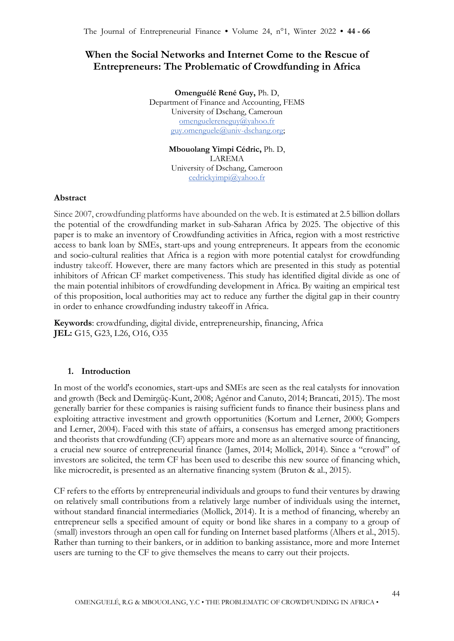## **When the Social Networks and Internet Come to the Rescue of Entrepreneurs: The Problematic of Crowdfunding in Africa**

**Omenguélé René Guy,** Ph. D, Department of Finance and Accounting, FEMS University of Dschang, Cameroun [omenguelereneguy@yahoo.fr](mailto:omenguelereneguy@yahoo.fr) [guy.omenguele@univ-dschang.org;](mailto:guy.omenguele@univ-dschang.org)

> **Mbouolang Yimpi Cédric,** Ph. D, LAREMA University of Dschang, Cameroon [cedrickyimpi@yahoo.fr](mailto:cedrickyimpi@yahoo.fr)

#### **Abstract**

Since 2007, crowdfunding platforms have abounded on the web. It is estimated at 2.5 billion dollars the potential of the crowdfunding market in sub-Saharan Africa by 2025. The objective of this paper is to make an inventory of Crowdfunding activities in Africa, region with a most restrictive access to bank loan by SMEs, start-ups and young entrepreneurs. It appears from the economic and socio-cultural realities that Africa is a region with more potential catalyst for crowdfunding industry takeoff. However, there are many factors which are presented in this study as potential inhibitors of African CF market competiveness. This study has identified digital divide as one of the main potential inhibitors of crowdfunding development in Africa. By waiting an empirical test of this proposition, local authorities may act to reduce any further the digital gap in their country in order to enhance crowdfunding industry takeoff in Africa.

**Keywords**: crowdfunding, digital divide, entrepreneurship, financing, Africa **JEL:** G15, G23, L26, O16, O35

#### **1. Introduction**

In most of the world's economies, start-ups and SMEs are seen as the real catalysts for innovation and growth (Beck and Demirgüç-Kunt, 2008; Agénor and Canuto, 2014; Brancati, 2015). The most generally barrier for these companies is raising sufficient funds to finance their business plans and exploiting attractive investment and growth opportunities (Kortum and Lerner, 2000; Gompers and Lerner, 2004). Faced with this state of affairs, a consensus has emerged among practitioners and theorists that crowdfunding (CF) appears more and more as an alternative source of financing, a crucial new source of entrepreneurial finance (James, 2014; Mollick, 2014). Since a "crowd" of investors are solicited, the term CF has been used to describe this new source of financing which, like microcredit, is presented as an alternative financing system (Bruton & al., 2015).

CF refers to the efforts by entrepreneurial individuals and groups to fund their ventures by drawing on relatively small contributions from a relatively large number of individuals using the internet, without standard financial intermediaries (Mollick, 2014). It is a method of financing, whereby an entrepreneur sells a specified amount of equity or bond like shares in a company to a group of (small) investors through an open call for funding on Internet based platforms (Alhers et al., 2015). Rather than turning to their bankers, or in addition to banking assistance, more and more Internet users are turning to the CF to give themselves the means to carry out their projects.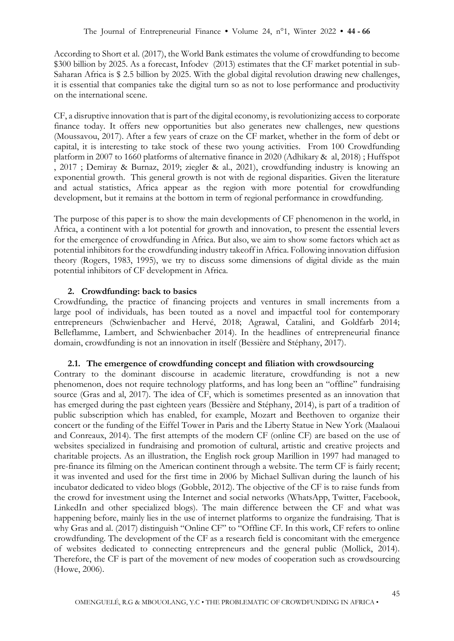According to Short et al. (2017), the World Bank estimates the volume of crowdfunding to become \$300 billion by 2025. As a forecast, Infodev (2013) estimates that the CF market potential in sub-Saharan Africa is \$ 2.5 billion by 2025. With the global digital revolution drawing new challenges, it is essential that companies take the digital turn so as not to lose performance and productivity on the international scene.

CF, a disruptive innovation that is part of the digital economy, is revolutionizing access to corporate finance today. It offers new opportunities but also generates new challenges, new questions (Moussavou, 2017). After a few years of craze on the CF market, whether in the form of debt or capital, it is interesting to take stock of these two young activities. From 100 Crowdfunding platform in 2007 to 1660 platforms of alternative finance in 2020 (Adhikary & al, 2018) ; Huffspot , 2017 ; Demiray & Burnaz, 2019; ziegler & al., 2021), crowdfunding industry is knowing an exponential growth. This general growth is not with de regional disparities. Given the literature and actual statistics, Africa appear as the region with more potential for crowdfunding development, but it remains at the bottom in term of regional performance in crowdfunding.

The purpose of this paper is to show the main developments of CF phenomenon in the world, in Africa, a continent with a lot potential for growth and innovation, to present the essential levers for the emergence of crowdfunding in Africa. But also, we aim to show some factors which act as potential inhibitors for the crowdfunding industry takeoff in Africa. Following innovation diffusion theory (Rogers, 1983, 1995), we try to discuss some dimensions of digital divide as the main potential inhibitors of CF development in Africa.

#### **2. Crowdfunding: back to basics**

Crowdfunding, the practice of financing projects and ventures in small increments from a large pool of individuals, has been touted as a novel and impactful tool for contemporary entrepreneurs (Schwienbacher and Hervé, 2018; Agrawal, Catalini, and Goldfarb 2014; Belleflamme, Lambert, and Schwienbacher 2014). In the headlines of entrepreneurial finance domain, crowdfunding is not an innovation in itself (Bessière and Stéphany, 2017).

#### **2.1. The emergence of crowdfunding concept and filiation with crowdsourcing**

Contrary to the dominant discourse in academic literature, crowdfunding is not a new phenomenon, does not require technology platforms, and has long been an "offline" fundraising source (Gras and al, 2017). The idea of CF, which is sometimes presented as an innovation that has emerged during the past eighteen years (Bessière and Stéphany, 2014), is part of a tradition of public subscription which has enabled, for example, Mozart and Beethoven to organize their concert or the funding of the Eiffel Tower in Paris and the Liberty Statue in New York (Maalaoui and Conreaux, 2014). The first attempts of the modern CF (online CF) are based on the use of websites specialized in fundraising and promotion of cultural, artistic and creative projects and charitable projects. As an illustration, the English rock group Marillion in 1997 had managed to pre-finance its filming on the American continent through a website. The term CF is fairly recent; it was invented and used for the first time in 2006 by Michael Sullivan during the launch of his incubator dedicated to video blogs (Gobble, 2012). The objective of the CF is to raise funds from the crowd for investment using the Internet and social networks (WhatsApp, Twitter, Facebook, LinkedIn and other specialized blogs). The main difference between the CF and what was happening before, mainly lies in the use of internet platforms to organize the fundraising. That is why Gras and al. (2017) distinguish "Online CF" to "Offline CF. In this work, CF refers to online crowdfunding. The development of the CF as a research field is concomitant with the emergence of websites dedicated to connecting entrepreneurs and the general public (Mollick, 2014). Therefore, the CF is part of the movement of new modes of cooperation such as crowdsourcing (Howe, 2006).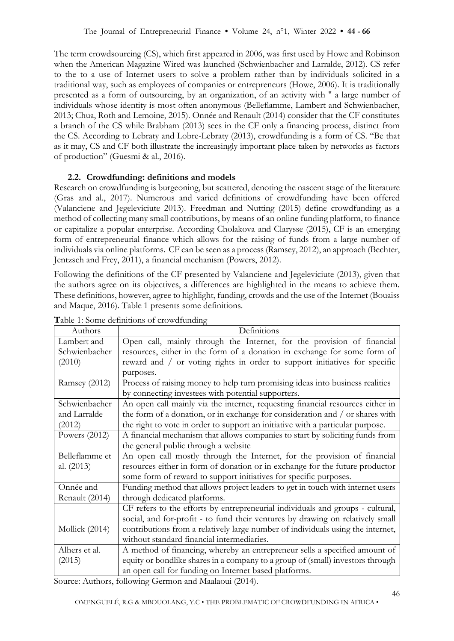The term crowdsourcing (CS), which first appeared in 2006, was first used by Howe and Robinson when the American Magazine Wired was launched (Schwienbacher and Larralde, 2012). CS refer to the to a use of Internet users to solve a problem rather than by individuals solicited in a traditional way, such as employees of companies or entrepreneurs (Howe, 2006). It is traditionally presented as a form of outsourcing, by an organization, of an activity with '' a large number of individuals whose identity is most often anonymous (Belleflamme, Lambert and Schwienbacher, 2013; Chua, Roth and Lemoine, 2015). Onnée and Renault (2014) consider that the CF constitutes a branch of the CS while Brabham (2013) sees in the CF only a financing process, distinct from the CS. According to Lebraty and Lobre-Lebraty (2013), crowdfunding is a form of CS. "Be that as it may, CS and CF both illustrate the increasingly important place taken by networks as factors of production" (Guesmi & al., 2016).

## **2.2. Crowdfunding: definitions and models**

Research on crowdfunding is burgeoning, but scattered, denoting the nascent stage of the literature (Gras and al., 2017). Numerous and varied definitions of crowdfunding have been offered (Valanciene and Jegeleviciute 2013). Freedman and Nutting (2015) define crowdfunding as a method of collecting many small contributions, by means of an online funding platform, to finance or capitalize a popular enterprise. According Cholakova and Clarysse (2015), CF is an emerging form of entrepreneurial finance which allows for the raising of funds from a large number of individuals via online platforms. CF can be seen as a process (Ramsey, 2012), an approach (Bechter, Jentzsch and Frey, 2011), a financial mechanism (Powers, 2012).

Following the definitions of the CF presented by Valanciene and Jegeleviciute (2013), given that the authors agree on its objectives, a differences are highlighted in the means to achieve them. These definitions, however, agree to highlight, funding, crowds and the use of the Internet (Bouaiss and Maque, 2016). Table 1 presents some definitions.

| Authors          | Definitions                                                                     |  |  |  |  |  |  |
|------------------|---------------------------------------------------------------------------------|--|--|--|--|--|--|
| Lambert and      | Open call, mainly through the Internet, for the provision of financial          |  |  |  |  |  |  |
| Schwienbacher    | resources, either in the form of a donation in exchange for some form of        |  |  |  |  |  |  |
| (2010)           | reward and / or voting rights in order to support initiatives for specific      |  |  |  |  |  |  |
|                  | purposes.                                                                       |  |  |  |  |  |  |
| Ramsey (2012)    | Process of raising money to help turn promising ideas into business realities   |  |  |  |  |  |  |
|                  | by connecting investees with potential supporters.                              |  |  |  |  |  |  |
| Schwienbacher    | An open call mainly via the internet, requesting financial resources either in  |  |  |  |  |  |  |
| and Larralde     | the form of a donation, or in exchange for consideration and / or shares with   |  |  |  |  |  |  |
| (2012)           | the right to vote in order to support an initiative with a particular purpose.  |  |  |  |  |  |  |
| Powers $(2012)$  | A financial mechanism that allows companies to start by soliciting funds from   |  |  |  |  |  |  |
|                  | the general public through a website                                            |  |  |  |  |  |  |
| Belleflamme et   | An open call mostly through the Internet, for the provision of financial        |  |  |  |  |  |  |
| al. (2013)       | resources either in form of donation or in exchange for the future productor    |  |  |  |  |  |  |
|                  | some form of reward to support initiatives for specific purposes.               |  |  |  |  |  |  |
| Onnée and        | Funding method that allows project leaders to get in touch with internet users  |  |  |  |  |  |  |
| Renault (2014)   | through dedicated platforms.                                                    |  |  |  |  |  |  |
|                  | CF refers to the efforts by entrepreneurial individuals and groups - cultural,  |  |  |  |  |  |  |
|                  | social, and for-profit - to fund their ventures by drawing on relatively small  |  |  |  |  |  |  |
| Mollick $(2014)$ | contributions from a relatively large number of individuals using the internet, |  |  |  |  |  |  |
|                  | without standard financial intermediaries.                                      |  |  |  |  |  |  |
| Alhers et al.    | A method of financing, whereby an entrepreneur sells a specified amount of      |  |  |  |  |  |  |
| (2015)           | equity or bondlike shares in a company to a group of (small) investors through  |  |  |  |  |  |  |
|                  | an open call for funding on Internet based platforms.                           |  |  |  |  |  |  |

**T**able 1: Some definitions of crowdfunding

Source: Authors, following Germon and Maalaoui (2014).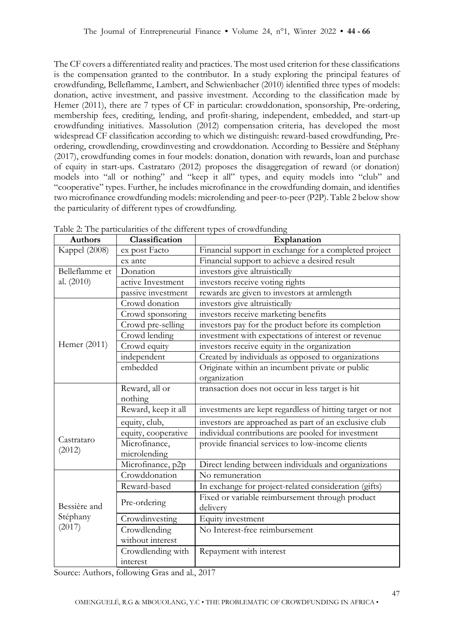The CF covers a differentiated reality and practices. The most used criterion for these classifications is the compensation granted to the contributor. In a study exploring the principal features of crowdfunding, Belleflamme, Lambert, and Schwienbacher (2010) identified three types of models: donation, active investment, and passive investment. According to the classification made by Hemer (2011), there are 7 types of CF in particular: crowddonation, sponsorship, Pre-ordering, membership fees, crediting, lending, and profit-sharing, independent, embedded, and start-up crowdfunding initiatives*.* Massolution (2012) compensation criteria, has developed the most widespread CF classification according to which we distinguish: reward-based crowdfunding, Preordering, crowdlending, crowdinvesting and crowddonation. According to Bessière and Stéphany (2017), crowdfunding comes in four models: donation, donation with rewards, loan and purchase of equity in start-ups. Castrataro (2012) proposes the disaggregation of reward (or donation) models into "all or nothing" and "keep it all" types, and equity models into "club" and "cooperative" types. Further, he includes microfinance in the crowdfunding domain, and identifies two microfinance crowdfunding models: microlending and peer-to-peer (P2P). Table 2 below show the particularity of different types of crowdfunding.

| <b>Authors</b> | Classification      | Explanation                                              |  |  |  |  |
|----------------|---------------------|----------------------------------------------------------|--|--|--|--|
| Kappel (2008)  | ex post Facto       | Financial support in exchange for a completed project    |  |  |  |  |
|                | ex ante             | Financial support to achieve a desired result            |  |  |  |  |
| Belleflamme et | Donation            | investors give altruistically                            |  |  |  |  |
| al. (2010)     | active Investment   | investors receive voting rights                          |  |  |  |  |
|                | passive investment  | rewards are given to investors at armlength              |  |  |  |  |
|                | Crowd donation      | investors give altruistically                            |  |  |  |  |
|                | Crowd sponsoring    | investors receive marketing benefits                     |  |  |  |  |
|                | Crowd pre-selling   | investors pay for the product before its completion      |  |  |  |  |
|                | Crowd lending       | investment with expectations of interest or revenue      |  |  |  |  |
| Hemer (2011)   | Crowd equity        | investors receive equity in the organization             |  |  |  |  |
|                | independent         | Created by individuals as opposed to organizations       |  |  |  |  |
|                | embedded            | Originate within an incumbent private or public          |  |  |  |  |
|                |                     | organization                                             |  |  |  |  |
|                | Reward, all or      | transaction does not occur in less target is hit         |  |  |  |  |
|                | nothing             |                                                          |  |  |  |  |
|                | Reward, keep it all | investments are kept regardless of hitting target or not |  |  |  |  |
|                | equity, club,       | investors are approached as part of an exclusive club    |  |  |  |  |
|                | equity, cooperative | individual contributions are pooled for investment       |  |  |  |  |
| Castrataro     | Microfinance,       | provide financial services to low-income clients         |  |  |  |  |
| (2012)         | microlending        |                                                          |  |  |  |  |
|                | Microfinance, p2p   | Direct lending between individuals and organizations     |  |  |  |  |
|                | Crowddonation       | No remuneration                                          |  |  |  |  |
|                | Reward-based        | In exchange for project-related consideration (gifts)    |  |  |  |  |
|                |                     | Fixed or variable reimbursement through product          |  |  |  |  |
| Bessière and   | Pre-ordering        | delivery                                                 |  |  |  |  |
| Stéphany       | Crowdinvesting      | Equity investment                                        |  |  |  |  |
| (2017)         | Crowdlending        | No Interest-free reimbursement                           |  |  |  |  |
|                | without interest    |                                                          |  |  |  |  |
|                | Crowdlending with   | Repayment with interest                                  |  |  |  |  |
|                | interest            |                                                          |  |  |  |  |

Table 2: The particularities of the different types of crowdfunding

Source: Authors, following Gras and al., 2017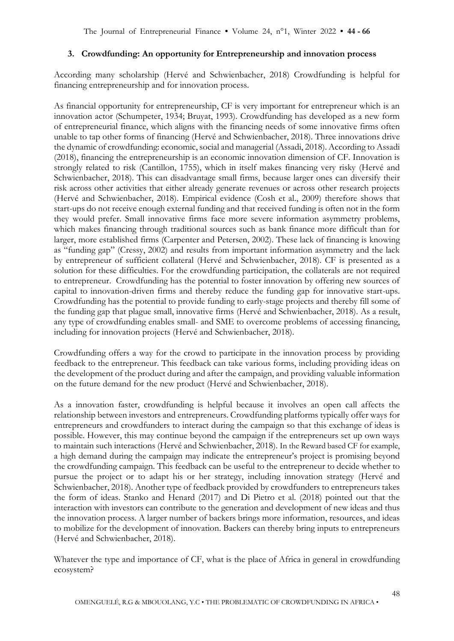The Journal of Entrepreneurial Finance **•** Volume 24, n°1, Winter 2022 **• 44 - 66**

#### **3. Crowdfunding: An opportunity for Entrepreneurship and innovation process**

According many scholarship (Hervé and Schwienbacher, 2018) Crowdfunding is helpful for financing entrepreneurship and for innovation process.

As financial opportunity for entrepreneurship, CF is very important for entrepreneur which is an innovation actor (Schumpeter, 1934; Bruyat, 1993). Crowdfunding has developed as a new form of entrepreneurial finance, which aligns with the financing needs of some innovative firms often unable to tap other forms of financing (Hervé and Schwienbacher, 2018). Three innovations drive the dynamic of crowdfunding: economic, social and managerial (Assadi, 2018). According to Assadi (2018), financing the entrepreneurship is an economic innovation dimension of CF. Innovation is strongly related to risk (Cantillon, 1755), which in itself makes financing very risky (Hervé and Schwienbacher, 2018). This can disadvantage small firms, because larger ones can diversify their risk across other activities that either already generate revenues or across other research projects (Hervé and Schwienbacher, 2018). Empirical evidence (Cosh et al., 2009) therefore shows that start-ups do not receive enough external funding and that received funding is often not in the form they would prefer. Small innovative firms face more severe information asymmetry problems, which makes financing through traditional sources such as bank finance more difficult than for larger, more established firms (Carpenter and Petersen, 2002). These lack of financing is knowing as "funding gap" (Cressy, 2002) and results from important information asymmetry and the lack by entrepreneur of sufficient collateral (Hervé and Schwienbacher, 2018). CF is presented as a solution for these difficulties. For the crowdfunding participation, the collaterals are not required to entrepreneur. Crowdfunding has the potential to foster innovation by offering new sources of capital to innovation-driven firms and thereby reduce the funding gap for innovative start-ups. Crowdfunding has the potential to provide funding to early-stage projects and thereby fill some of the funding gap that plague small, innovative firms (Hervé and Schwienbacher, 2018). As a result, any type of crowdfunding enables small- and SME to overcome problems of accessing financing, including for innovation projects (Hervé and Schwienbacher, 2018).

Crowdfunding offers a way for the crowd to participate in the innovation process by providing feedback to the entrepreneur. This feedback can take various forms, including providing ideas on the development of the product during and after the campaign, and providing valuable information on the future demand for the new product (Hervé and Schwienbacher, 2018).

As a innovation faster, crowdfunding is helpful because it involves an open call affects the relationship between investors and entrepreneurs. Crowdfunding platforms typically offer ways for entrepreneurs and crowdfunders to interact during the campaign so that this exchange of ideas is possible. However, this may continue beyond the campaign if the entrepreneurs set up own ways to maintain such interactions (Hervé and Schwienbacher, 2018). In the Reward based CF for example, a high demand during the campaign may indicate the entrepreneur's project is promising beyond the crowdfunding campaign. This feedback can be useful to the entrepreneur to decide whether to pursue the project or to adapt his or her strategy, including innovation strategy (Hervé and Schwienbacher, 2018). Another type of feedback provided by crowdfunders to entrepreneurs takes the form of ideas. Stanko and Henard (2017) and Di Pietro et al. (2018) pointed out that the interaction with investors can contribute to the generation and development of new ideas and thus the innovation process. A larger number of backers brings more information, resources, and ideas to mobilize for the development of innovation. Backers can thereby bring inputs to entrepreneurs (Hervé and Schwienbacher, 2018).

Whatever the type and importance of CF, what is the place of Africa in general in crowdfunding ecosystem?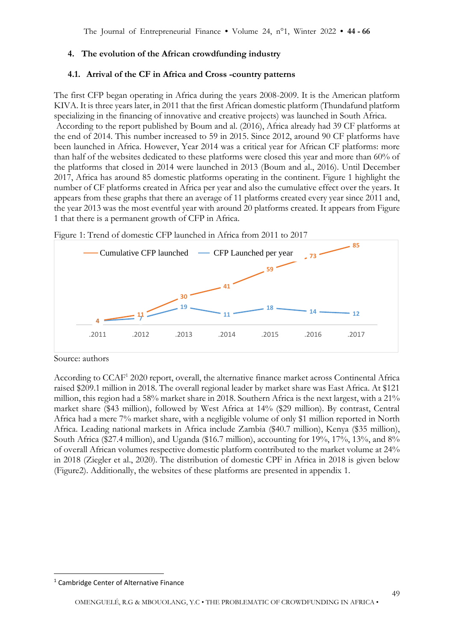### **4. The evolution of the African crowdfunding industry**

#### **4.1. Arrival of the CF in Africa and Cross -country patterns**

The first CFP began operating in Africa during the years 2008-2009. It is the American platform KIVA. It is three years later, in 2011 that the first African domestic platform (Thundafund platform specializing in the financing of innovative and creative projects) was launched in South Africa. According to the report published by Boum and al. (2016), Africa already had 39 CF platforms at the end of 2014. This number increased to 59 in 2015. Since 2012, around 90 CF platforms have been launched in Africa. However, Year 2014 was a critical year for African CF platforms: more than half of the websites dedicated to these platforms were closed this year and more than 60% of the platforms that closed in 2014 were launched in 2013 (Boum and al., 2016). Until December 2017, Africa has around 85 domestic platforms operating in the continent. Figure 1 highlight the number of CF platforms created in Africa per year and also the cumulative effect over the years. It appears from these graphs that there an average of 11 platforms created every year since 2011 and, the year 2013 was the most eventful year with around 20 platforms created. It appears from Figure 1 that there is a permanent growth of CFP in Africa.



Figure 1: Trend of domestic CFP launched in Africa from 2011 to 2017

#### Source: authors

According to CCAF<sup>1</sup> 2020 report, overall, the alternative finance market across Continental Africa raised \$209.1 million in 2018. The overall regional leader by market share was East Africa. At \$121 million, this region had a 58% market share in 2018. Southern Africa is the next largest, with a 21% market share (\$43 million), followed by West Africa at 14% (\$29 million). By contrast, Central Africa had a mere 7% market share, with a negligible volume of only \$1 million reported in North Africa. Leading national markets in Africa include Zambia (\$40.7 million), Kenya (\$35 million), South Africa (\$27.4 million), and Uganda (\$16.7 million), accounting for 19%, 17%, 13%, and 8% of overall African volumes respective domestic platform contributed to the market volume at 24% in 2018 (Ziegler et al., 2020). The distribution of domestic CPF in Africa in 2018 is given below (Figure2). Additionally, the websites of these platforms are presented in appendix 1.

<sup>1</sup> Cambridge Center of Alternative Finance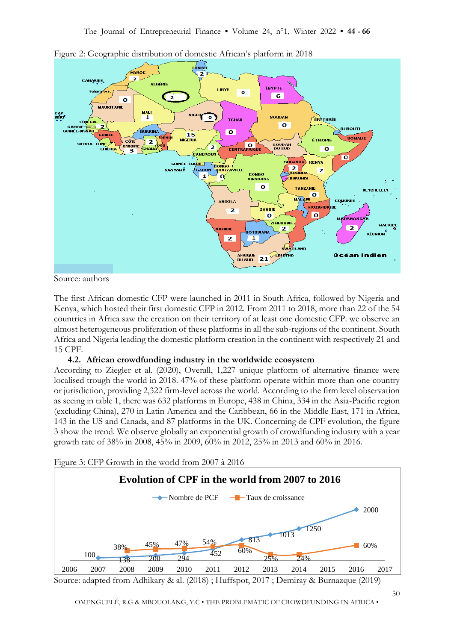

Figure 2: Geographic distribution of domestic African's platform in 2018

Source: authors

The first African domestic CFP were launched in 2011 in South Africa, followed by Nigeria and Kenya, which hosted their first domestic CFP in 2012. From 2011 to 2018, more than 22 of the 54 countries in Africa saw the creation on their territory of at least one domestic CFP. we observe an almost heterogeneous proliferation of these platforms in all the sub-regions of the continent. South Africa and Nigeria leading the domestic platform creation in the continent with respectively 21 and 15 CPF.

#### **4.2. African crowdfunding industry in the worldwide ecosystem**

According to Ziegler et al. (2020), Overall, 1,227 unique platform of alternative finance were localised trough the world in 2018. 47% of these platform operate within more than one country or jurisdiction, providing 2,322 firm-level across the world. According to the firm level observation as seeing in table 1, there was 632 platforms in Europe, 438 in China, 334 in the Asia-Pacific region (excluding China), 270 in Latin America and the Caribbean, 66 in the Middle East, 171 in Africa, 143 in the US and Canada, and 87 platforms in the UK. Concerning de CPF evolution, the figure 3 show the trend. We observe globally an exponential growth of crowdfunding industry with a year growth rate of 38% in 2008, 45% in 2009, 60% in 2012, 25% in 2013 and 60% in 2016.

![](_page_7_Figure_7.jpeg)

![](_page_7_Figure_8.jpeg)

Source: adapted from Adhikary & al. (2018) ; Huffspot, 2017 ; Demiray & Burnazque (2019)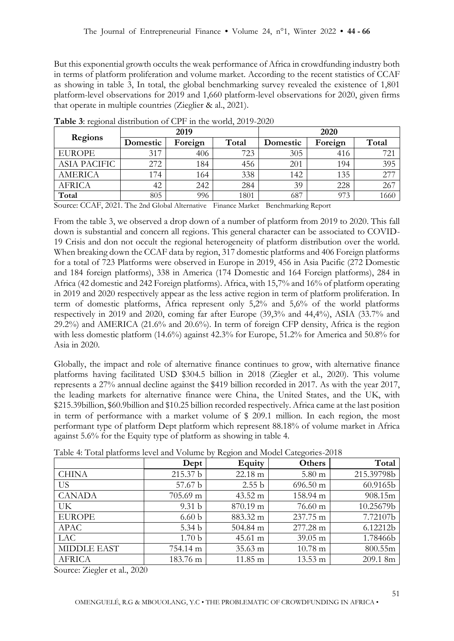But this exponential growth occults the weak performance of Africa in crowdfunding industry both in terms of platform proliferation and volume market. According to the recent statistics of CCAF as showing in table 3, In total, the global benchmarking survey revealed the existence of 1,801 platform-level observations for 2019 and 1,660 platform-level observations for 2020, given firms that operate in multiple countries (Zieglier & al., 2021).

| <b>Regions</b>      |          | 2019    |       |          | 2020    |        |
|---------------------|----------|---------|-------|----------|---------|--------|
|                     | Domestic | Foreign | Total | Domestic | Foreign | Total  |
| <b>EUROPE</b>       | 317      | 406     | 723   | 305      | 416     | 721    |
| <b>ASIA PACIFIC</b> | 272      | 184     | 456   | 201      | 194     | 395    |
| <b>AMERICA</b>      | 174      | 164     | 338   | 142      | 135     | $27^-$ |
| AFRICA              | 42       | 242     | 284   | 39       | 228     | 267    |
| Total               | 805      | 996     | 1801  | 687      | 973     | 1660   |

**Table 3**: regional distribution of CPF in the world, 2019-2020

Source: CCAF, 2021. The 2nd Global Alternative Finance Market Benchmarking Report

From the table 3, we observed a drop down of a number of platform from 2019 to 2020. This fall down is substantial and concern all regions. This general character can be associated to COVID-19 Crisis and don not occult the regional heterogeneity of platform distribution over the world. When breaking down the CCAF data by region, 317 domestic platforms and 406 Foreign platforms for a total of 723 Platforms were observed in Europe in 2019, 456 in Asia Pacific (272 Domestic and 184 foreign platforms), 338 in America (174 Domestic and 164 Foreign platforms), 284 in Africa (42 domestic and 242 Foreign platforms). Africa, with 15,7% and 16% of platform operating in 2019 and 2020 respectively appear as the less active region in term of platform proliferation. In term of domestic platforms, Africa represent only 5,2% and 5,6% of the world platforms respectively in 2019 and 2020, coming far after Europe (39,3% and 44,4%), ASIA (33.7% and 29.2%) and AMERICA (21.6% and 20.6%). In term of foreign CFP density, Africa is the region with less domestic platform (14.6%) against 42.3% for Europe, 51.2% for America and 50.8% for Asia in 2020.

Globally, the impact and role of alternative finance continues to grow, with alternative finance platforms having facilitated USD \$304.5 billion in 2018 (Ziegler et al., 2020). This volume represents a 27% annual decline against the \$419 billion recorded in 2017. As with the year 2017, the leading markets for alternative finance were China, the United States, and the UK, with \$215.39billion, \$60.9billion and \$10.25 billion recorded respectively. Africa came at the last position in term of performance with a market volume of \$ 209.1 million. In each region, the most performant type of platform Dept platform which represent 88.18% of volume market in Africa against 5.6% for the Equity type of platform as showing in table 4.

|                    | Dept               | Equity             | $\circ$<br>Others  | Total      |
|--------------------|--------------------|--------------------|--------------------|------------|
| <b>CHINA</b>       | 215.37 b           | 22.18 m            | $5.80 \text{ m}$   | 215.39798b |
| US                 | 57.67 b            | 2.55 <sub>b</sub>  | $696.50 \text{ m}$ | 60.9165b   |
| <b>CANADA</b>      | $705.69 \text{ m}$ | 43.52 m            | 158.94 m           | 908.15m    |
| UK                 | 9.31 <sub>b</sub>  | $870.19 \text{ m}$ | $76.60 \text{ m}$  | 10.25679b  |
| <b>EUROPE</b>      | 6.60 <sub>b</sub>  | 883.32 m           | 237.75 m           | 7.72107b   |
| <b>APAC</b>        | 5.34 <sub>b</sub>  | 504.84 m           | 277.28 m           | 6.12212b   |
| LAC                | 1.70 <sub>b</sub>  | 45.61 m            | $39.05 \text{ m}$  | 1.78466b   |
| <b>MIDDLE EAST</b> | 754.14 m           | 35.63 m            | $10.78 \text{ m}$  | 800.55m    |
| <b>AFRICA</b>      | 183.76 m           | $11.85 \text{ m}$  | 13.53 m            | 209.1 8m   |

Table 4: Total platforms level and Volume by Region and Model Categories-2018

Source: Ziegler et al., 2020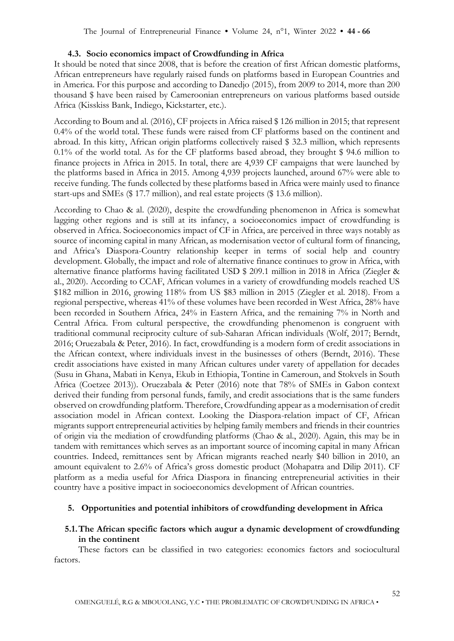#### **4.3. Socio economics impact of Crowdfunding in Africa**

It should be noted that since 2008, that is before the creation of first African domestic platforms, African entrepreneurs have regularly raised funds on platforms based in European Countries and in America. For this purpose and according to Danedjo (2015), from 2009 to 2014, more than 200 thousand \$ have been raised by Cameroonian entrepreneurs on various platforms based outside Africa (Kisskiss Bank, Indiego, Kickstarter, etc.).

According to Boum and al. (2016), CF projects in Africa raised \$ 126 million in 2015; that represent 0.4% of the world total. These funds were raised from CF platforms based on the continent and abroad. In this kitty, African origin platforms collectively raised \$ 32.3 million, which represents 0.1% of the world total. As for the CF platforms based abroad, they brought \$ 94.6 million to finance projects in Africa in 2015. In total, there are 4,939 CF campaigns that were launched by the platforms based in Africa in 2015. Among 4,939 projects launched, around 67% were able to receive funding. The funds collected by these platforms based in Africa were mainly used to finance start-ups and SMEs (\$ 17.7 million), and real estate projects (\$ 13.6 million).

According to Chao & al. (2020), despite the crowdfunding phenomenon in Africa is somewhat lagging other regions and is still at its infancy, a socioeconomics impact of crowdfunding is observed in Africa. Socioeconomics impact of CF in Africa, are perceived in three ways notably as source of incoming capital in many African, as modernisation vector of cultural form of financing, and Africa's Diaspora-Country relationship keeper in terms of social help and country development. Globally, the impact and role of alternative finance continues to grow in Africa, with alternative finance platforms having facilitated USD \$ 209.1 million in 2018 in Africa (Ziegler & al., 2020). According to CCAF, African volumes in a variety of crowdfunding models reached US \$182 million in 2016, growing 118% from US \$83 million in 2015 (Ziegler et al. 2018). From a regional perspective, whereas 41% of these volumes have been recorded in West Africa, 28% have been recorded in Southern Africa, 24% in Eastern Africa, and the remaining 7% in North and Central Africa. From cultural perspective, the crowdfunding phenomenon is congruent with traditional communal reciprocity culture of sub-Saharan African individuals (Wolf, 2017; Berndt, 2016; Oruezabala & Peter, 2016). In fact, crowdfunding is a modern form of credit associations in the African context, where individuals invest in the businesses of others (Berndt, 2016). These credit associations have existed in many African cultures under varety of appellation for decades (Susu in Ghana, Mabati in Kenya, Ekub in Ethiopia, Tontine in Cameroun, and Stokvels in South Africa (Coetzee 2013)). Oruezabala & Peter (2016) note that 78% of SMEs in Gabon context derived their funding from personal funds, family, and credit associations that is the same funders observed on crowdfunding platform. Therefore, Crowdfunding appear as a modernisation of credit association model in African context. Looking the Diaspora-relation impact of CF, African migrants support entrepreneurial activities by helping family members and friends in their countries of origin via the mediation of crowdfunding platforms (Chao & al., 2020). Again, this may be in tandem with remittances which serves as an important source of incoming capital in many African countries. Indeed, remittances sent by African migrants reached nearly \$40 billion in 2010, an amount equivalent to 2.6% of Africa's gross domestic product (Mohapatra and Dilip 2011). CF platform as a media useful for Africa Diaspora in financing entrepreneurial activities in their country have a positive impact in socioeconomics development of African countries.

#### **5. Opportunities and potential inhibitors of crowdfunding development in Africa**

#### **5.1.The African specific factors which augur a dynamic development of crowdfunding in the continent**

These factors can be classified in two categories: economics factors and sociocultural factors.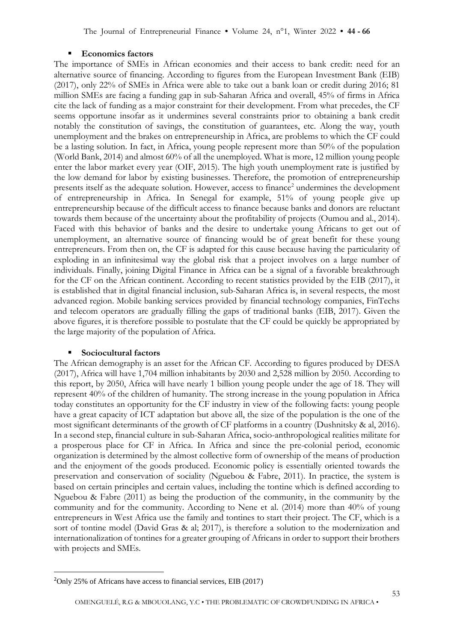#### ▪ **Economics factors**

The importance of SMEs in African economies and their access to bank credit: need for an alternative source of financing. According to figures from the European Investment Bank (EIB) (2017), only 22% of SMEs in Africa were able to take out a bank loan or credit during 2016; 81 million SMEs are facing a funding gap in sub-Saharan Africa and overall, 45% of firms in Africa cite the lack of funding as a major constraint for their development. From what precedes, the CF seems opportune insofar as it undermines several constraints prior to obtaining a bank credit notably the constitution of savings, the constitution of guarantees, etc. Along the way, youth unemployment and the brakes on entrepreneurship in Africa, are problems to which the CF could be a lasting solution. In fact, in Africa, young people represent more than 50% of the population (World Bank, 2014) and almost 60% of all the unemployed. What is more, 12 million young people enter the labor market every year (OIF, 2015). The high youth unemployment rate is justified by the low demand for labor by existing businesses. Therefore, the promotion of entrepreneurship presents itself as the adequate solution. However, access to finance<sup>2</sup> undermines the development of entrepreneurship in Africa. In Senegal for example, 51% of young people give up entrepreneurship because of the difficult access to finance because banks and donors are reluctant towards them because of the uncertainty about the profitability of projects (Oumou and al., 2014). Faced with this behavior of banks and the desire to undertake young Africans to get out of unemployment, an alternative source of financing would be of great benefit for these young entrepreneurs. From then on, the CF is adapted for this cause because having the particularity of exploding in an infinitesimal way the global risk that a project involves on a large number of individuals. Finally, joining Digital Finance in Africa can be a signal of a favorable breakthrough for the CF on the African continent. According to recent statistics provided by the EIB (2017), it is established that in digital financial inclusion, sub-Saharan Africa is, in several respects, the most advanced region. Mobile banking services provided by financial technology companies, FinTechs and telecom operators are gradually filling the gaps of traditional banks (EIB, 2017). Given the above figures, it is therefore possible to postulate that the CF could be quickly be appropriated by the large majority of the population of Africa.

#### ▪ **Sociocultural factors**

The African demography is an asset for the African CF. According to figures produced by DESA (2017), Africa will have 1,704 million inhabitants by 2030 and 2,528 million by 2050. According to this report, by 2050, Africa will have nearly 1 billion young people under the age of 18. They will represent 40% of the children of humanity. The strong increase in the young population in Africa today constitutes an opportunity for the CF industry in view of the following facts: young people have a great capacity of ICT adaptation but above all, the size of the population is the one of the most significant determinants of the growth of CF platforms in a country (Dushnitsky & al, 2016). In a second step, financial culture in sub-Saharan Africa, socio-anthropological realities militate for a prosperous place for CF in Africa. In Africa and since the pre-colonial period, economic organization is determined by the almost collective form of ownership of the means of production and the enjoyment of the goods produced. Economic policy is essentially oriented towards the preservation and conservation of sociality (Nguebou & Fabre, 2011). In practice, the system is based on certain principles and certain values, including the tontine which is defined according to Nguebou & Fabre (2011) as being the production of the community, in the community by the community and for the community. According to Nene et al. (2014) more than 40% of young entrepreneurs in West Africa use the family and tontines to start their project. The CF, which is a sort of tontine model (David Gras & al; 2017), is therefore a solution to the modernization and internationalization of tontines for a greater grouping of Africans in order to support their brothers with projects and SMEs.

<sup>2</sup>Only 25% of Africans have access to financial services, EIB (2017)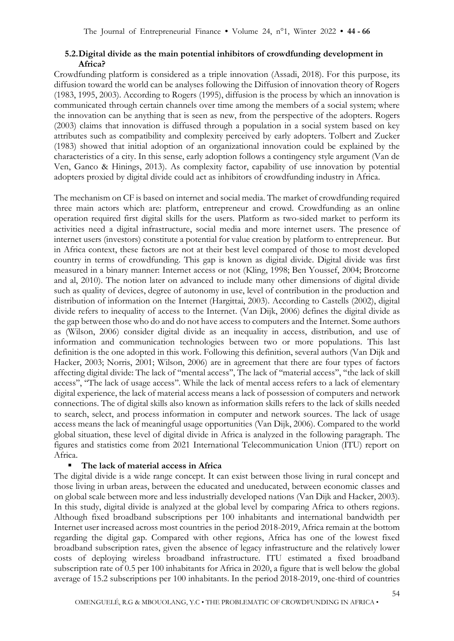#### **5.2.Digital divide as the main potential inhibitors of crowdfunding development in Africa?**

Crowdfunding platform is considered as a triple innovation (Assadi, 2018). For this purpose, its diffusion toward the world can be analyses following the Diffusion of innovation theory of Rogers (1983, 1995, 2003). According to Rogers (1995), diffusion is the process by which an innovation is communicated through certain channels over time among the members of a social system; where the innovation can be anything that is seen as new, from the perspective of the adopters. Rogers (2003) claims that innovation is diffused through a population in a social system based on key attributes such as compatibility and complexity perceived by early adopters. Tolbert and Zucker (1983) showed that initial adoption of an organizational innovation could be explained by the characteristics of a city. In this sense, early adoption follows a contingency style argument (Van de Ven, Ganco & Hinings, 2013). As complexity factor, capability of use innovation by potential adopters proxied by digital divide could act as inhibitors of crowdfunding industry in Africa.

The mechanism on CF is based on internet and social media. The market of crowdfunding required three main actors which are: platform, entrepreneur and crowd. Crowdfunding as an online operation required first digital skills for the users. Platform as two-sided market to perform its activities need a digital infrastructure, social media and more internet users. The presence of internet users (investors) constitute a potential for value creation by platform to entrepreneur. But in Africa context, these factors are not at their best level compared of those to most developed country in terms of crowdfunding. This gap is known as digital divide. Digital divide was first measured in a binary manner: Internet access or not (Kling, 1998; Ben Youssef, 2004; Brotcorne and al, 2010). The notion later on advanced to include many other dimensions of digital divide such as quality of devices, degree of autonomy in use, level of contribution in the production and distribution of information on the Internet (Hargittai, 2003). According to Castells (2002), digital divide refers to inequality of access to the Internet. (Van Dijk, 2006) defines the digital divide as the gap between those who do and do not have access to computers and the Internet. Some authors as (Wilson, 2006) consider digital divide as an inequality in access, distribution, and use of information and communication technologies between two or more populations. This last definition is the one adopted in this work. Following this definition, several authors (Van Dijk and Hacker, 2003; Norris, 2001; Wilson, 2006) are in agreement that there are four types of factors affecting digital divide: The lack of ''mental access'', The lack of ''material access'', ''the lack of skill access'', ''The lack of usage access''. While the lack of mental access refers to a lack of elementary digital experience, the lack of material access means a lack of possession of computers and network connections. The of digital skills also known as information skills refers to the lack of skills needed to search, select, and process information in computer and network sources. The lack of usage access means the lack of meaningful usage opportunities (Van Dijk, 2006). Compared to the world global situation, these level of digital divide in Africa is analyzed in the following paragraph. The figures and statistics come from 2021 International Telecommunication Union (ITU) report on Africa.

#### ▪ **The lack of material access in Africa**

The digital divide is a wide range concept. It can exist between those living in rural concept and those living in urban areas, between the educated and uneducated, between economic classes and on global scale between more and less industrially developed nations (Van Dijk and Hacker, 2003). In this study, digital divide is analyzed at the global level by comparing Africa to others regions. Although fixed broadband subscriptions per 100 inhabitants and international bandwidth per Internet user increased across most countries in the period 2018-2019, Africa remain at the bottom regarding the digital gap. Compared with other regions, Africa has one of the lowest fixed broadband subscription rates, given the absence of legacy infrastructure and the relatively lower costs of deploying wireless broadband infrastructure. ITU estimated a fixed broadband subscription rate of 0.5 per 100 inhabitants for Africa in 2020, a figure that is well below the global average of 15.2 subscriptions per 100 inhabitants. In the period 2018-2019, one-third of countries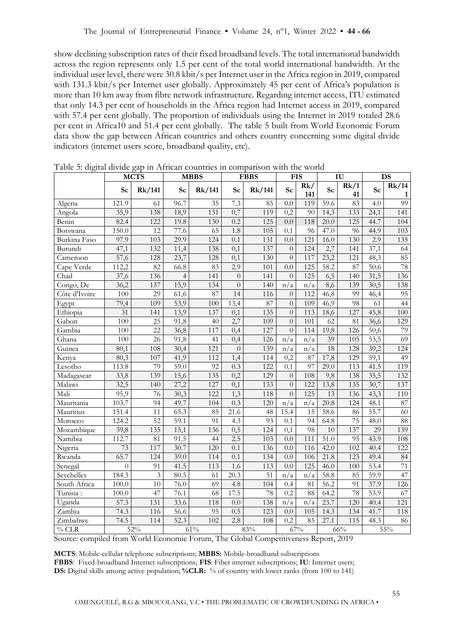show declining subscription rates of their fixed broadband levels. The total international bandwidth across the region represents only 1.5 per cent of the total world international bandwidth. At the individual user level, there were 30.8 kbit/s per Internet user in the Africa region in 2019, compared with 131.3 kbit/s per Internet user globally. Approximately 45 per cent of Africa's population is more than 10 km away from fibre network infrastructure. Regarding internet access, ITU estimated that only 14.3 per cent of households in the Africa region had Internet access in 2019, compared with 57.4 per cent globally. The proportion of individuals using the Internet in 2019 totaled 28.6 per cent in Africa10 and 51.4 per cent globally. The table 5 built from World Economic Forum data show the gap between African countries and others country concerning some digital divide indicators (internet users score, broadband quality, etc).

|               |                | <b>MCTS</b>     |                | <b>MBBS</b> | <b>FBBS</b>      |                 |                | <b>FIS</b> | IU   |            | DS   |            |
|---------------|----------------|-----------------|----------------|-------------|------------------|-----------------|----------------|------------|------|------------|------|------------|
|               | Sc             | Rk/141          | Sc             | Rk/141      | Sc               | Rk/141          | Sc             | Rk/<br>141 | Sc   | Rk/1<br>41 | Sc   | Rk/14<br>1 |
| Algeria       | 121.9          | 61              | 96.7           | 35          | 7.3              | 85              | 0.0            | 119        | 59.6 | 83         | 4.0  | 99         |
| Angola        | 35,9           | 138             | 18,9           | 131         | 0,7              | 119             | 0,2            | 90         | 14,3 | 133        | 24,1 | 141        |
| Benin         | 82.4           | 122             | 19.8           | 130         | 0.2              | 125             | 0.0            | 118        | 20.0 | 125        | 44.7 | 104        |
| Botswana      | 150.0          | 12              | 77.6           | 65          | 1.8              | 105             | 0.1            | 96         | 47.0 | 96         | 44.9 | 103        |
| Burkina Faso  | 97.9           | 103             | 29.9           | 124         | 0.1              | 131             | 0.0            | 121        | 16.0 | 130        | 2.9  | 135        |
| Burundi       | 47,1           | 132             | 11,4           | 138         | 0,1              | 137             | $\theta$       | 124        | 2,7  | 141        | 37,1 | 64         |
| Cameroon      | 57,6           | 128             | 23,7           | 128         | 0,1              | 130             | $\theta$       | 117        | 23,2 | 121        | 48,3 | 85         |
| Cape Verde    | 112,2          | 82              | 66.8           | 83          | 2.9              | 101             | 0.0            | 125        | 58.2 | 87         | 50.6 | 78         |
| Chad          | 37,6           | 136             | $\overline{4}$ | 141         | $\boldsymbol{0}$ | 141             | $\overline{0}$ | 125        | 6,5  | 140        | 31,5 | 136        |
| Congo, De     | 36,2           | 137             | 15,9           | 134         | $\Omega$         | 140             | n/a            | n/a        | 8,6  | 139        | 30,5 | 138        |
| Côte d'Ivoire | 100            | 29              | 61,6           | 87          | 14               | 116             | $\Omega$       | 112        | 46,8 | 99         | 46,4 | 95         |
| Egypt         | 79,4           | 109             | 53,9           | 100         | 13,4             | 87              | $\theta$       | 109        | 46,9 | 98         | 61   | 44         |
| Ethiopia      | 31             | 141             | 13,9           | 137         | 0,1              | 135             | $\overline{0}$ | 113        | 18,6 | 127        | 45,8 | 100        |
| Gabon         | 100            | 25              | 91,8           | 40          | 2,7              | 109             | $\overline{0}$ | 101        | 62   | 81         | 36,6 | 129        |
| Gambia        | 100            | $\overline{22}$ | 36,8           | 117         | 0,4              | 127             | $\overline{0}$ | 114        | 19,8 | 126        | 50,6 | 79         |
| Ghana         | 100            | 26              | 91,8           | 41          | 0,4              | 126             | n/a            | n/a        | 39   | 105        | 53,5 | 69         |
| Guinea        | 80,1           | 108             | 30,4           | 121         | $\overline{0}$   | 139             | n/a            | n/a        | 18   | 128        | 39,2 | 124        |
| Kenya         | 80,3           | 107             | 41,9           | 112         | 1,4              | 114             | 0,2            | 87         | 17,8 | 129        | 59,1 | 49         |
| Lesotho       | 113.8          | 79              | 59.0           | 92          | 0.3              | 122             | 0.1            | 97         | 29.0 | 113        | 41.5 | 119        |
| Madagascar    | 33,8           | 139             | 15,6           | 135         | 0,2              | 129             | $\theta$       | 108        | 9,8  | 138        | 35,5 | 132        |
| Malawi        | 32,5           | 140             | 27,2           | 127         | 0,1              | 133             | $\theta$       | 122        | 13,8 | 135        | 30,7 | 137        |
| Mali          | 95,9           | 76              | 30,3           | 122         | 1,3              | 118             | $\overline{0}$ | 125        | 13   | 136        | 43,3 | 110        |
| Mauritania    | 103.7          | 94              | 49.7           | 104         | 0.3              | 120             | n/a            | n/a        | 20.8 | 124        | 48.1 | 87         |
| Mauritius     | 151.4          | 11              | 65.3           | 85          | 21.6             | 48              | 15.4           | 15         | 58.6 | 86         | 55.7 | 60         |
| Morocco       | 124.2          | 52              | 59.1           | 91          | 4.3              | 93              | 0.1            | 94         | 64.8 | 75         | 48.0 | 88         |
| Mozambique    | 39,8           | 135             | 15,1           | 136         | 0,5              | 124             | 0,1            | 98         | 10   | 137        | 29   | 139        |
| Namibia       | 112.7          | 81              | 91.5           | 44          | 2.5              | 103             | 0.0            | 111        | 51.0 | 95         | 43.9 | 108        |
| Nigeria       | 73             | 117             | 30.7           | 120         | 0.1              | 136             | 0.0            | 116        | 42.0 | 102        | 40.4 | 122        |
| Rwanda        | 65.7           | 124             | 39.0           | 114         | 0.1              | 134             | 0.0            | 106        | 21.8 | 123        | 49.4 | 84         |
| Senegal       | $\overline{0}$ | 91              | 41.5           | 113         | 1.6              | 113             | 0.0            | 125        | 46.0 | 100        | 53.4 | 71         |
| Seychelles    | 184.3          | 3               | 80.5           | 61          | 20.3             | $\overline{51}$ | n/a            | n/a        | 58.8 | 85         | 59.9 | 47         |
| South Africa  | 100.0          | 10              | 76.0           | 69          | 4.8              | 104             | 0.4            | 81         | 56.2 | 91         | 37.9 | 126        |
| Tunisia:      | 100.0          | 47              | 76.1           | 68          | 17.5             | 78              | 0.2            | 88         | 64.2 | 78         | 53.9 | 67         |
| Uganda        | 57.3           | 131             | 33.6           | 118         | 0.0              | 138             | n/a            | n/a        | 23.7 | 120        | 40.4 | 121        |
| Zambia        | 74.3           | 116             | 56.6           | 95          | 0.5              | 123             | 0.0            | 105        | 14.3 | 134        | 41.7 | 118        |
| Zimbabwe      | 74.5           | 114             | 52.3           | 102         | 2.8              | 108             | 0.2            | 85         | 27.1 | 115        | 48.3 | 86         |
| $%$ CLR       |                | 52%             |                | 61%         |                  | 83%             |                | 67%        |      | 66%        |      | $55\%$     |

Table 5: digital divide gap in African countries in comparison with the world

Source: compiled from World Economic Forum, The Global Competitiveness Report, 2019

**MCTS**: Mobile-cellular telephone subscriptions; **MBBS:** Mobile-broadband subscriptions **FBBS**: Fixed-broadband Internet subscriptions; **FIS**: Fiber internet subscriptions; **IU**: Internet users; **DS:** Digital skills among active population; **%CLR:** % of country with lower ranks (from 100 to 141)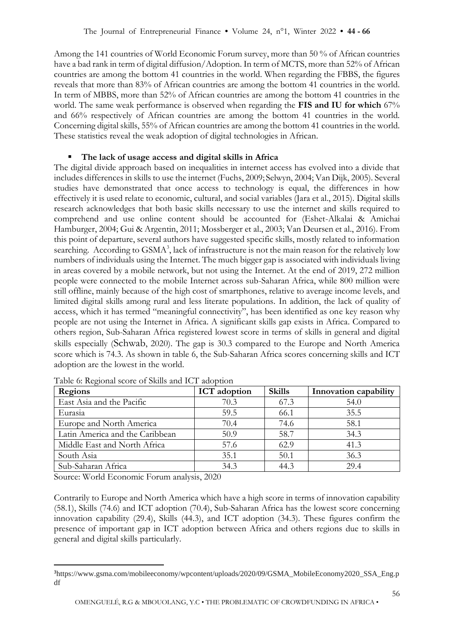Among the 141 countries of World Economic Forum survey, more than 50 % of African countries have a bad rank in term of digital diffusion/Adoption. In term of MCTS, more than 52% of African countries are among the bottom 41 countries in the world. When regarding the FBBS, the figures reveals that more than 83% of African countries are among the bottom 41 countries in the world. In term of MBBS, more than 52% of African countries are among the bottom 41 countries in the world. The same weak performance is observed when regarding the **FIS and IU for which** 67% and 66% respectively of African countries are among the bottom 41 countries in the world. Concerning digital skills, 55% of African countries are among the bottom 41 countries in the world. These statistics reveal the weak adoption of digital technologies in African.

#### ▪ **The lack of usage access and digital skills in Africa**

The digital divide approach based on inequalities in internet access has evolved into a divide that includes differences in skills to use the internet (Fuchs, 2009; Selwyn, 2004; Van Dijk, 2005). Several studies have demonstrated that once access to technology is equal, the differences in how effectively it is used relate to economic, cultural, and social variables (Jara et al., 2015). Digital skills research acknowledges that both basic skills necessary to use the internet and skills required to comprehend and use online content should be accounted for (Eshet-Alkalai & Amichai Hamburger, 2004; Gui & Argentin, 2011; Mossberger et al., 2003; Van Deursen et al., 2016). From this point of departure, several authors have suggested specific skills, mostly related to information searching. According to GSMA<sup>3</sup>, lack of infrastructure is not the main reason for the relatively low numbers of individuals using the Internet. The much bigger gap is associated with individuals living in areas covered by a mobile network, but not using the Internet. At the end of 2019, 272 million people were connected to the mobile Internet across sub-Saharan Africa, while 800 million were still offline, mainly because of the high cost of smartphones, relative to average income levels, and limited digital skills among rural and less literate populations. In addition, the lack of quality of access, which it has termed "meaningful connectivity", has been identified as one key reason why people are not using the Internet in Africa. A significant skills gap exists in Africa. Compared to others region, Sub-Saharan Africa registered lowest score in terms of skills in general and digital skills especially (Schwab, 2020). The gap is 30.3 compared to the Europe and North America score which is 74.3. As shown in table 6, the Sub-Saharan Africa scores concerning skills and ICT adoption are the lowest in the world.

| Regions                         | <b>ICT</b> adoption | <b>Skills</b> | Innovation capability |
|---------------------------------|---------------------|---------------|-----------------------|
| East Asia and the Pacific       | 70.3                | 67.3          | 54.0                  |
| Eurasia                         | 59.5                | 66.1          | 35.5                  |
| Europe and North America        | 70.4                | 74.6          | 58.1                  |
| Latin America and the Caribbean | 50.9                | 58.7          | 34.3                  |
| Middle East and North Africa    | 57.6                | 62.9          | 41.3                  |
| South Asia                      | 35.1                | 50.1          | 36.3                  |
| Sub-Saharan Africa              | 34.3                | 44.3          | 29.4                  |

Table 6: Regional score of Skills and ICT adoption

Source: World Economic Forum analysis, 2020

Contrarily to Europe and North America which have a high score in terms of innovation capability (58.1), Skills (74.6) and ICT adoption (70.4), Sub-Saharan Africa has the lowest score concerning innovation capability (29.4), Skills (44.3), and ICT adoption (34.3). These figures confirm the presence of important gap in ICT adoption between Africa and others regions due to skills in general and digital skills particularly.

<sup>3</sup>https://www.gsma.com/mobileeconomy/wpcontent/uploads/2020/09/GSMA\_MobileEconomy2020\_SSA\_Eng.p df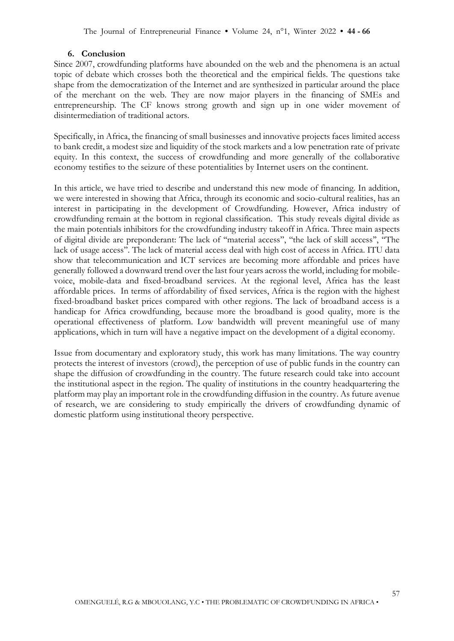#### **6. Conclusion**

Since 2007, crowdfunding platforms have abounded on the web and the phenomena is an actual topic of debate which crosses both the theoretical and the empirical fields. The questions take shape from the democratization of the Internet and are synthesized in particular around the place of the merchant on the web. They are now major players in the financing of SMEs and entrepreneurship. The CF knows strong growth and sign up in one wider movement of disintermediation of traditional actors.

Specifically, in Africa, the financing of small businesses and innovative projects faces limited access to bank credit, a modest size and liquidity of the stock markets and a low penetration rate of private equity. In this context, the success of crowdfunding and more generally of the collaborative economy testifies to the seizure of these potentialities by Internet users on the continent.

In this article, we have tried to describe and understand this new mode of financing. In addition, we were interested in showing that Africa, through its economic and socio-cultural realities, has an interest in participating in the development of Crowdfunding. However, Africa industry of crowdfunding remain at the bottom in regional classification. This study reveals digital divide as the main potentials inhibitors for the crowdfunding industry takeoff in Africa. Three main aspects of digital divide are preponderant: The lack of ''material access'', ''the lack of skill access'', ''The lack of usage access''. The lack of material access deal with high cost of access in Africa. ITU data show that telecommunication and ICT services are becoming more affordable and prices have generally followed a downward trend over the last four years across the world, including for mobilevoice, mobile-data and fixed-broadband services. At the regional level, Africa has the least affordable prices. In terms of affordability of fixed services, Africa is the region with the highest fixed-broadband basket prices compared with other regions. The lack of broadband access is a handicap for Africa crowdfunding, because more the broadband is good quality, more is the operational effectiveness of platform. Low bandwidth will prevent meaningful use of many applications, which in turn will have a negative impact on the development of a digital economy.

Issue from documentary and exploratory study, this work has many limitations. The way country protects the interest of investors (crowd), the perception of use of public funds in the country can shape the diffusion of crowdfunding in the country. The future research could take into account the institutional aspect in the region. The quality of institutions in the country headquartering the platform may play an important role in the crowdfunding diffusion in the country. As future avenue of research, we are considering to study empirically the drivers of crowdfunding dynamic of domestic platform using institutional theory perspective.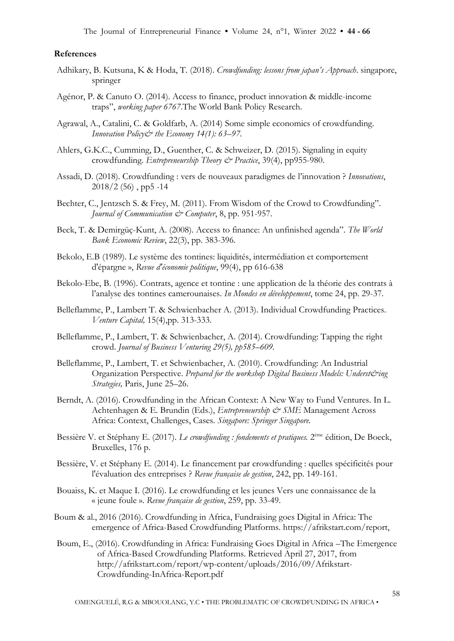The Journal of Entrepreneurial Finance **•** Volume 24, n°1, Winter 2022 **• 44 - 66**

#### **References**

- Adhikary, B. Kutsuna, K & Hoda, T. (2018). *Crowdfunding: lessons from japan's Approach*. singapore, springer
- Agénor, P. & Canuto O. (2014). Access to finance, product innovation & middle-income traps", *working paper 6767*.The World Bank Policy Research.
- Agrawal, A., Catalini, C. & Goldfarb, A. (2014) Some simple economics of crowdfunding. *Innovation Policy& the Economy 14(1): 63–97.*
- Ahlers, G.K.C., Cumming, D., Guenther, C. & Schweizer, D. (2015). Signaling in equity crowdfunding. *Entrepreneurship Theory & Practice*, 39(4), pp955-980.
- Assadi, D. (2018). Crowdfunding : vers de nouveaux paradigmes de l'innovation ? *Innovations*, 2018/2 (56) , pp5 -14
- Bechter, C., Jentzsch S. & Frey, M. (2011). From Wisdom of the Crowd to Crowdfunding". *Journal of Communication & Computer*, 8, pp. 951-957.
- Beck, T. & Demirgüç-Kunt, A. (2008). Access to finance: An unfinished agenda". *The World Bank Economic Review*, 22(3), pp. 383-396.
- Bekolo, E.B (1989). Le système des tontines: liquidités, intermédiation et comportement d'épargne », *Revue d'économie politique*, 99(4), pp 616-638
- Bekolo-Ebe, B. (1996). Contrats, agence et tontine : une application de la théorie des contrats à l'analyse des tontines camerounaises. *In Mondes en développement*, tome 24, pp. 29-37.
- Belleflamme, P., Lambert T. & Schwienbacher A. (2013). Individual Crowdfunding Practices. *Venture Capital,* 15(4),pp. 313-333.
- Belleflamme, P., Lambert, T. & Schwienbacher, A. (2014). Crowdfunding: Tapping the right crowd. *Journal of Business Venturing 29(5), pp585–609.*
- Belleflamme, P., Lambert, T. et Schwienbacher, A. (2010). Crowdfunding: An Industrial Organization Perspective. *Prepared for the workshop Digital Business Models: Underst&ing Strategies,* Paris, June 25–26.
- Berndt, A. (2016). Crowdfunding in the African Context: A New Way to Fund Ventures. In L. Achtenhagen & E. Brundin (Eds.), *Entrepreneurship & SME* Management Across Africa: Context, Challenges, Cases*. Singapore: Springer Singapore.*
- Bessière V. et Stéphany E. (2017). *Le crowdfunding : fondements et pratiques*. 2<sup>ème</sup> édition, De Boeck, Bruxelles, 176 p.
- Bessière, V. et Stéphany E. (2014). Le financement par crowdfunding : quelles spécificités pour l'évaluation des entreprises ? *Revue française de gestion*, 242, pp. 149-161.
- Bouaiss, K. et Maque I. (2016). Le crowdfunding et les jeunes Vers une connaissance de la « jeune foule ». *Revue française de gestion*, 259, pp. 33-49.
- [Boum & al., 2016 \(2016\). Crowdfunding in Africa, Fundraising goes Digital in Africa: The](https://afrikstart.com/report)  [emergence of Africa-Based Crowdfunding Platforms. https://afrikstart.com/report,](https://afrikstart.com/report)
- [Boum, E., \(2016\). Crowdfunding in Africa: Fundraising Goes Digital in Africa](http://afrikstart.com/report/wp-content/uploads/2016/09/Afrikstart-Crowdfunding-InAfrica-Report.pdf) –The Emergence [of Africa-Based Crowdfunding Platforms. Retrieved April 27, 2017, from](http://afrikstart.com/report/wp-content/uploads/2016/09/Afrikstart-Crowdfunding-InAfrica-Report.pdf)  [http://afrikstart.com/report/wp-content/uploads/2016/09/Afrikstart-](http://afrikstart.com/report/wp-content/uploads/2016/09/Afrikstart-Crowdfunding-InAfrica-Report.pdf)[Crowdfunding-InAfrica-Report.pdf](http://afrikstart.com/report/wp-content/uploads/2016/09/Afrikstart-Crowdfunding-InAfrica-Report.pdf)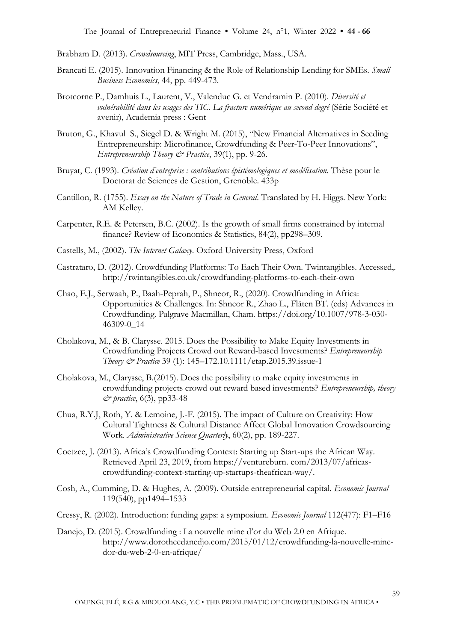The Journal of Entrepreneurial Finance **•** Volume 24, n°1, Winter 2022 **• 44 - 66**

Brabham D. (2013). *Crowdsourcing*, MIT Press, Cambridge, Mass., USA.

- Brancati E. (2015). Innovation Financing & the Role of Relationship Lending for SMEs. *Small Business Economics*, 44, pp. 449-473.
- Brotcorne P., Damhuis L., Laurent, V., Valenduc G. et Vendramin P. (2010). *Diversité et vulnérabilité dans les usages des TIC. La fracture numérique au second degré* (Série Société et avenir), Academia press : Gent
- Bruton, G., Khavul S., Siegel D. & Wright M. (2015), "New Financial Alternatives in Seeding Entrepreneurship: Microfinance, Crowdfunding & Peer-To-Peer Innovations", *Entrepreneurship Theory & Practice*, 39(1), pp. 9-26.
- Bruyat, C. (1993). *Création d'entreprise : contributions épistémologiques et modélisation*. Thèse pour le Doctorat de Sciences de Gestion, Grenoble. 433p
- Cantillon, R. (1755). *Essay on the Nature of Trade in General*. Translated by H. Higgs. New York: AM Kelley.
- Carpenter, R.E. & Petersen, B.C. (2002). Is the growth of small firms constrained by internal finance? Review of Economics & Statistics, 84(2), pp298–309.
- Castells, M., (2002). *The Internet Galaxy*. Oxford University Press, Oxford
- [Castrataro, D. \(2012\). Crowdfunding Platforms: To Each Their Own. Twintangibles. Accessed,.](http://twintangibles.co.uk/crowdfunding-platforms-to-each-their-own/)  [http://twintangibles.co.uk/crowdfunding-platforms-to-each-their-own](http://twintangibles.co.uk/crowdfunding-platforms-to-each-their-own/)
- Chao, E.J., Serwaah, P., Baah-Peprah, P., Shneor, R., (2020). Crowdfunding in Africa: Opportunities & Challenges. In: Shneor R., Zhao L., Flåten BT. (eds) Advances in Crowdfunding. Palgrave Macmillan, Cham. https://doi.org/10.1007/978-3-030- 46309-0\_14
- Cholakova, M., & B. Clarysse. 2015. Does the Possibility to Make Equity Investments in Crowdfunding Projects Crowd out Reward-based Investments? *Entrepreneurship Theory & Practice* 39 (1): 145–172.10.1111/etap.2015.39.issue-1
- Cholakova, M., Clarysse, B.(2015). Does the possibility to make equity investments in crowdfunding projects crowd out reward based investments? *Entrepreneurship, theory & practice*, 6(3), pp33-48
- Chua, R.Y.J, Roth, Y. & Lemoine, J.-F. (2015). The impact of Culture on Creativity: How Cultural Tightness & Cultural Distance Affect Global Innovation Crowdsourcing Work. *Administrative Science Quarterly*, 60(2), pp. 189-227.
- [Coetzee, J. \(2013\). Africa's Crowdfunding Context: Starting up Start](https://ventureburn/)-ups the African Way. Retrieved April 23, [2019, from https://ventureburn. com/2013/07/africas](https://ventureburn/)[crowdfunding-context-starting-up-startups-theafrican-way/.](https://ventureburn/)
- Cosh, A., Cumming, D. & Hughes, A. (2009). Outside entrepreneurial capital. *Economic Journal*  119(540), pp1494–1533
- Cressy, R. (2002). Introduction: funding gaps: a symposium. *Economic Journal* 112(477): F1–F16
- Danejo, D. (2015). Crowdfunding : La nouvelle mine d'or du Web 2.0 en Afrique. http://www.dorotheedanedjo.com/2015/01/12/crowdfunding-la-nouvelle-minedor-du-web-2-0-en-afrique/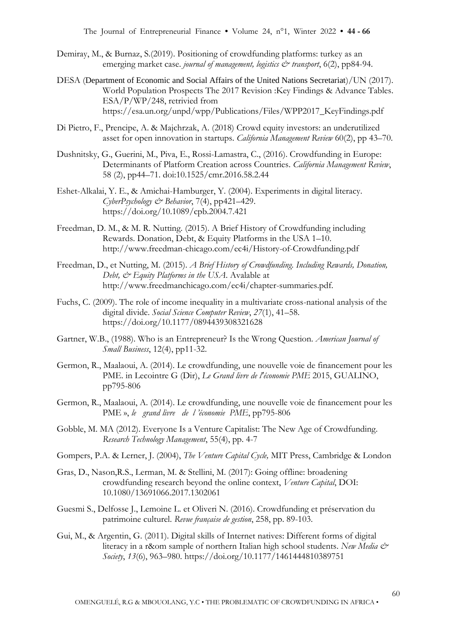- Demiray, M., & Burnaz, S.(2019). Positioning of crowdfunding platforms: turkey as an emerging market case. *journal of management, logistics*  $\dot{\mathcal{C}}$  *transport*, 6(2), pp84-94.
- DESA (Department of Economic and Social Affairs of the United Nations Secretariat)/UN (2017). World Population Prospects The 2017 Revision :Key Findings & Advance Tables. ESA/P/WP/248, retrivied from https://esa.un.org/unpd/wpp/Publications/Files/WPP2017\_KeyFindings.pdf
- Di Pietro, F., Prencipe, A. & Majchrzak, A. (2018) Crowd equity investors: an underutilized asset for open innovation in startups. *California Management Review* 60(2), pp 43–70.
- Dushnitsky, G., Guerini, M., Piva, E., Rossi-Lamastra, C., (2016). Crowdfunding in Europe: Determinants of Platform Creation across Countries. *California Management Review*, 58 (2), pp44–71. doi:10.1525/cmr.2016.58.2.44
- Eshet-Alkalai, Y. E., & Amichai-Hamburger, Y. (2004). Experiments in digital literacy. *CyberPsychology & Behavior*, 7(4), pp421–429. https://doi.org/10.1089/cpb.2004.7.421
- [Freedman, D. M., & M. R. Nutting. \(2015\). A Brief History of Crowdfunding including](http://www.freedman-chicago.com/ec4i/History-of-Crowdfunding.pdf)  [Rewards. Donation, Debt, & Equity Platforms in the USA 1](http://www.freedman-chicago.com/ec4i/History-of-Crowdfunding.pdf)–10. <http://www.freedman-chicago.com/ec4i/History-of-Crowdfunding.pdf>
- Freedman, D., et Nutting, M. (2015). *A Brief History of Crowdfunding. Including Rewards, Donation, Debt, & Equity Platforms in the USA*. Avalable at http://www.freedmanchicago.com/ec4i/chapter-summaries.pdf.
- Fuchs, C. (2009). The role of income inequality in a multivariate cross-national analysis of the digital divide. *Social Science Computer Review*, *27*(1), 41–58. https://doi.org/10.1177/0894439308321628
- Gartner, W.B., (1988). Who is an Entrepreneur? Is the Wrong Question. *American Journal of Small Business*, 12(4), pp11-32.
- Germon, R., Maalaoui, A. (2014). Le crowdfunding, une nouvelle voie de financement pour les PME. in Lecointre G (Dir), *Le Grand livre de l'économie PME* 2015, GUALINO, pp795-806
- Germon, R., Maalaoui, A. (2014). Le crowdfunding, une nouvelle voie de financement pour les PME », *le grand livre de l 'économie PME*, pp795-806
- Gobble, M. MA (2012). Everyone Is a Venture Capitalist: The New Age of Crowdfunding. *Research Technology Management*, 55(4), pp. 4-7
- Gompers, P.A. & Lerner, J. (2004), *The Venture Capital Cycle,* MIT Press, Cambridge & London
- Gras, D., Nason,R.S., Lerman, M. & Stellini, M. (2017): Going offline: broadening crowdfunding research beyond the online context, *Venture Capital*, DOI: 10.1080/13691066.2017.1302061
- Guesmi S., Delfosse J., Lemoine L. et Oliveri N. (2016). Crowdfunding et préservation du patrimoine culturel. *Revue française de gestion*, 258, pp. 89-103.
- Gui, M., & Argentin, G. (2011). Digital skills of Internet natives: Different forms of digital literacy in a r&om sample of northern Italian high school students. *New Media*  $\phi^*$ *Society*, *13*(6), 963–980. https://doi.org/10.1177/1461444810389751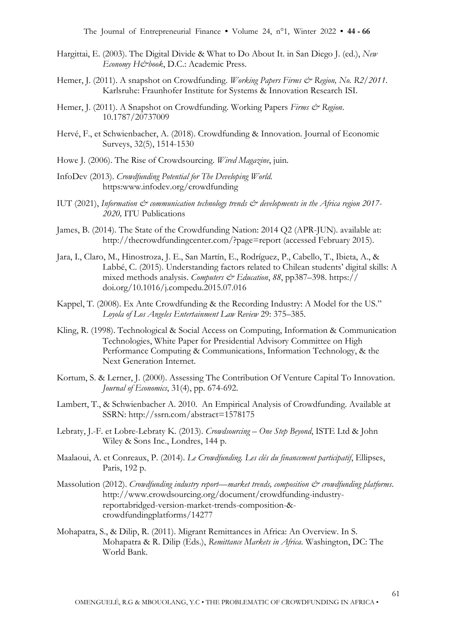- Hargittai, E. (2003). The Digital Divide & What to Do About It. in San Diego J. (ed.), *New Economy H&book*, D.C.: Academic Press.
- Hemer, J. (2011). A snapshot on Crowdfunding. *Working Papers Firms & Region, No. R2/2011*. Karlsruhe: Fraunhofer Institute for Systems & Innovation Research ISI.
- Hemer, J. (2011). A Snapshot on Crowdfunding. Working Papers *Firms & Region*. 10.1787/20737009
- Hervé, F., et Schwienbacher, A. (2018). Crowdfunding & Innovation. Journal of Economic Surveys, 32(5), 1514-1530
- Howe J. (2006). The Rise of Crowdsourcing. *Wired Magazine*, juin.
- InfoDev (2013). *Crowdfunding Potential for The Developing World.*  https:www.infodev.org/crowdfunding
- IUT (2021), *Information*  $\mathfrak{S}$  communication technology trends  $\mathfrak{S}$  developments in the Africa region 2017-*2020,* ITU Publications
- James, B. (2014). The State of the Crowdfunding Nation: 2014 Q2 (APR-JUN). available at: http://thecrowdfundingcenter.com/?page=report (accessed February 2015).
- Jara, I., Claro, M., Hinostroza, J. E., San Martín, E., Rodríguez, P., Cabello, T., Ibieta, A., & Labbé, C. (2015). Understanding factors related to Chilean students' digital skills: A mixed methods analysis. *Computers & Education*, 88, pp387–398. https:// doi.org/10.1016/j.compedu.2015.07.016
- Kappel, T. (2008). Ex Ante Crowdfunding & the Recording Industry: A Model for the US." *Loyola of Los Angeles Entertainment Law Review* 29: 375–385.
- Kling, R. (1998). Technological & Social Access on Computing, Information & Communication Technologies, White Paper for Presidential Advisory Committee on High Performance Computing & Communications, Information Technology, & the Next Generation Internet.
- Kortum, S. & Lerner, J. (2000). Assessing The Contribution Of Venture Capital To Innovation. *Journal of Economics*, 31(4), pp. 674-692.
- Lambert, T., & Schwienbacher A. 2010. An Empirical Analysis of Crowdfunding. Available at SSRN: http://ssrn.com/abstract=1578175
- Lebraty, J.-F. et Lobre-Lebraty K. (2013). *Crowdsourcing – One Step Beyond*, ISTE Ltd & John Wiley & Sons Inc., Londres, 144 p.
- Maalaoui, A. et Conreaux, P. (2014). *Le Crowdfunding. Les clés du financement participatif*, Ellipses, Paris, 192 p.
- Massolution (2012). *Crowdfunding industry report—market trends, composition & crowdfunding platforms*. http://www.crowdsourcing.org/document/crowdfunding-industryreportabridged-version-market-trends-composition-& crowdfundingplatforms/14277
- Mohapatra, S., & Dilip, R. (2011). Migrant Remittances in Africa: An Overview. In S. Mohapatra & R. Dilip (Eds.), *Remittance Markets in Africa*. Washington, DC: The World Bank.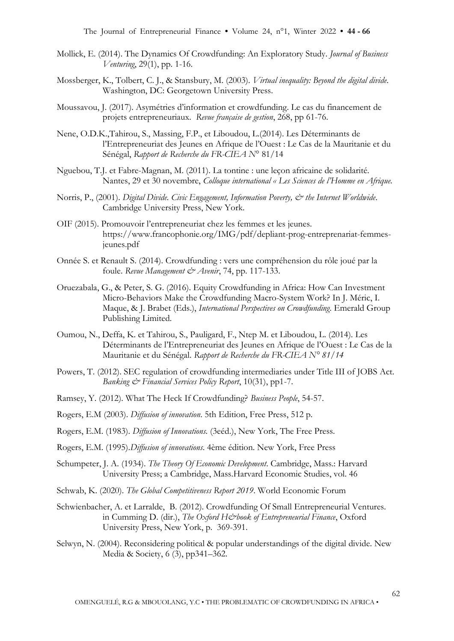- Mollick, E. (2014). The Dynamics Of Crowdfunding: An Exploratory Study. *Journal of Business Venturing*, 29(1), pp. 1-16.
- Mossberger, K., Tolbert, C. J., & Stansbury, M. (2003). *Virtual inequality: Beyond the digital divide*. Washington, DC: Georgetown University Press.
- Moussavou, J. (2017). Asymétries d'information et crowdfunding. Le cas du financement de projets entrepreneuriaux. *Revue française de gestion*, 268, pp 61-76.
- Nene, O.D.K.,Tahirou, S., Massing, F.P., et Liboudou, L.(2014). Les Déterminants de l'Entrepreneuriat des Jeunes en Afrique de l'Ouest : Le Cas de la Mauritanie et du Sénégal, *Rapport de Recherche du FR-CIEA N*° 81/14
- Nguebou, T.J. et Fabre-Magnan, M. (2011). La tontine : une leçon africaine de solidarité. Nantes, 29 et 30 novembre, *Colloque international « Les Sciences de l'Homme en Afrique.*
- Norris, P., (2001). *Digital Divide. Civic Engagement, Information Poverty,*  $\mathcal{Q}^*$  *the Internet Worldwide.* Cambridge University Press, New York.
- OIF (2015). Promouvoir l'entrepreneuriat chez les femmes et les jeunes. https://www.francophonie.org/IMG/pdf/depliant-prog-entreprenariat-femmesjeunes.pdf
- Onnée S. et Renault S. (2014). Crowdfunding : vers une compréhension du rôle joué par la foule. Revue Management & Avenir, 74, pp. 117-133.
- Oruezabala, G., & Peter, S. G. (2016). Equity Crowdfunding in Africa: How Can Investment Micro-Behaviors Make the Crowdfunding Macro-System Work? In J. Méric, I. Maque, & J. Brabet (Eds.), *International Perspectives on Crowdfunding*. Emerald Group Publishing Limited.
- Oumou, N., Deffa, K. et Tahirou, S., Pauligard, F., Ntep M. et Liboudou, L. (2014). Les Déterminants de l'Entrepreneuriat des Jeunes en Afrique de l'Ouest : Le Cas de la Mauritanie et du Sénégal. *Rapport de Recherche du FR-CIEA N° 81/14*
- Powers, T. (2012). SEC regulation of crowdfunding intermediaries under Title III of JOBS Act. *Banking & Financial Services Policy Report*, 10(31), pp1-7.
- Ramsey, Y. (2012). What The Heck If Crowdfunding? *Business People*, 54-57.
- Rogers, E.M (2003). *Diffusion of innovation*. 5th Edition, Free Press, 512 p.
- Rogers, E.M. (1983). *Diffusion of Innovations.* (3eéd.), New York, The Free Press.
- Rogers, E.M. (1995).*Diffusion of innovations*. 4ème édition. New York, Free Press
- Schumpeter, J. A. (1934). *The Theory Of Economic Development*. Cambridge, Mass.: Harvard University Press; a Cambridge, Mass.Harvard Economic Studies, vol. 46
- Schwab, K. (2020). *The Global Competitiveness Report 2019*. World Economic Forum
- Schwienbacher, A. et Larralde, B. (2012). Crowdfunding Of Small Entrepreneurial Ventures. in Cumming D. (dir.), *The Oxford H&book of Entrepreneurial Finance*, Oxford University Press, New York, p. 369-391.
- Selwyn, N. (2004). Reconsidering political & popular understandings of the digital divide. New Media & Society, 6 (3), pp341–362.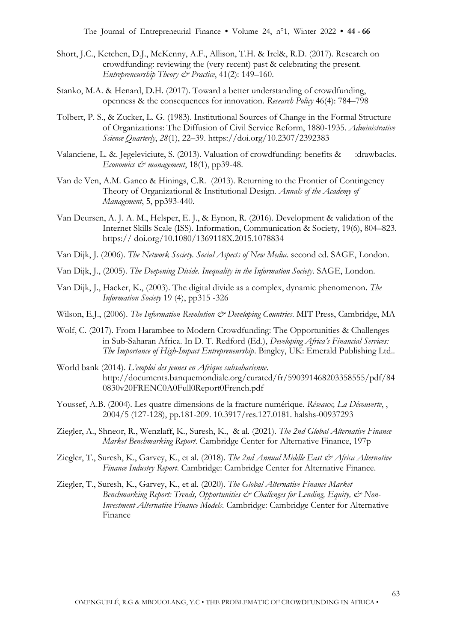- Short, J.C., Ketchen, D.J., McKenny, A.F., Allison, T.H. & Irel&, R.D. (2017). Research on crowdfunding: reviewing the (very recent) past & celebrating the present. *Entrepreneurship Theory & Practice*, 41(2): 149–160.
- Stanko, M.A. & Henard, D.H. (2017). Toward a better understanding of crowdfunding, openness & the consequences for innovation. *Research Policy* 46(4): 784–798
- Tolbert, P. S., & Zucker, L. G. (1983). Institutional Sources of Change in the Formal Structure of Organizations: The Diffusion of Civil Service Reform, 1880-1935. *Administrative Science Quarterly*, *28*(1), 22–39. https://doi.org/10.2307/2392383
- Valanciene, L. &. Jegeleviciute, S. (2013). Valuation of crowdfunding: benefits & :drawbacks. *Economics & management*, 18(1), pp39-48.
- Van de Ven, A.M. Ganco & Hinings, C.R. (2013). Returning to the Frontier of Contingency Theory of Organizational & Institutional Design. *Annals of the Academy of Management*, 5, pp393-440.
- Van Deursen, A. J. A. M., Helsper, E. J., & Eynon, R. (2016). Development & validation of the Internet Skills Scale (ISS). Information, Communication & Society, 19(6), 804–823. https:// doi.org/10.1080/1369118X.2015.1078834
- Van Dijk, J. (2006). *The Network Society. Social Aspects of New Media*. second ed. SAGE, London.
- Van Dijk, J., (2005). *The Deepening Divide. Inequality in the Information Society*. SAGE, London.
- Van Dijk, J., Hacker, K., (2003). The digital divide as a complex, dynamic phenomenon. *The Information Society* 19 (4), pp315 -326
- Wilson, E.J., (2006). *The Information Revolution & Developing Countries*. MIT Press, Cambridge, MA
- Wolf, C. (2017). From Harambee to Modern Crowdfunding: The Opportunities & Challenges in Sub-Saharan Africa. In D. T. Redford (Ed.), *Developing Africa's Financial Services: The Importance of High-Impact Entrepreneurship*. Bingley, UK: Emerald Publishing Ltd..
- World bank (2014). *L'emploi des jeunes en Afrique subsaharienne*. [http://documents.banquemondiale.org/curated/fr/590391468203358555/pdf/84](http://documents.banquemondiale.org/curated/fr/590391468203358555/pdf/840830v20FRENC0A0Full0Report0French.pdf) [0830v20FRENC0A0Full0Report0French.pdf](http://documents.banquemondiale.org/curated/fr/590391468203358555/pdf/840830v20FRENC0A0Full0Report0French.pdf)
- Youssef, A.B. (2004). Les quatre dimensions de la fracture numérique. *Réseaux, La Découverte*, , 2004/5 (127-128), pp.181-209. 10.3917/res.127.0181. halshs-00937293
- Ziegler, A., Shneor, R., Wenzlaff, K., Suresh, K., & al. (2021). *The 2nd Global Alternative Finance Market Benchmarking Report*. Cambridge Center for Alternative Finance, 197p
- Ziegler, T., Suresh, K., Garvey, K., et al. (2018). *The 2nd Annual Middle East & Africa Alternative Finance Industry Report*. Cambridge: Cambridge Center for Alternative Finance.
- Ziegler, T., Suresh, K., Garvey, K., et al. (2020). *The Global Alternative Finance Market*  Benchmarking Report: Trends, Opportunities & Challenges for Lending, Equity, & Non-*Investment Alternative Finance Models*. Cambridge: Cambridge Center for Alternative Finance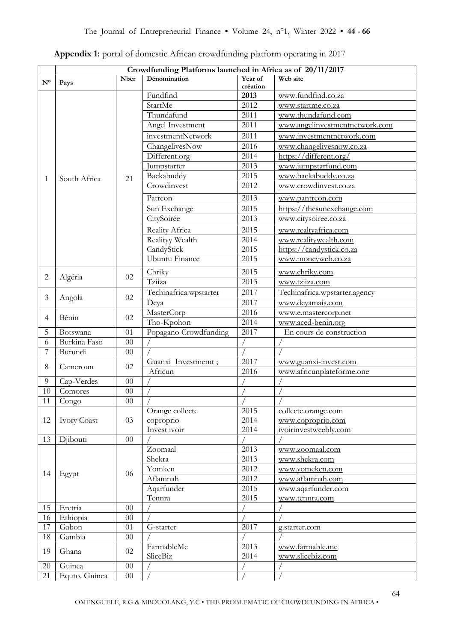|                           | Crowdfunding Platforms launched in Africa as of 20/11/2017 |             |                        |                     |                                |  |  |  |  |
|---------------------------|------------------------------------------------------------|-------------|------------------------|---------------------|--------------------------------|--|--|--|--|
| $\mathbf{N}^{\mathsf{o}}$ | Pays                                                       | <b>Nber</b> | Dénomination           | Year of<br>création | Web site                       |  |  |  |  |
|                           |                                                            |             | Fundfind               | 2013                | www.fundfind.co.za             |  |  |  |  |
|                           |                                                            |             | StartMe                | 2012                | www.startme.co.za              |  |  |  |  |
|                           |                                                            |             | Thundafund             | 2011                | www.thundafund.com             |  |  |  |  |
|                           |                                                            |             | Angel Investment       | 2011                | www.angelinvestmentnetwork.com |  |  |  |  |
|                           |                                                            |             | investmentNetwork      | 2011                | www.investmentnetwork.com      |  |  |  |  |
|                           |                                                            |             | ChangelivesNow         | 2016                | www.changelivesnow.co.za       |  |  |  |  |
|                           |                                                            |             | Different.org          | 2014                | https://different.org/         |  |  |  |  |
|                           |                                                            |             | Jumpstarter            | 2013                | www.jumpstarfund.com           |  |  |  |  |
| 1                         | South Africa                                               | 21          | Backabuddy             | 2015                | www.backabuddy.co.za           |  |  |  |  |
|                           |                                                            |             | Crowdinvest            | 2012                | www.crowdinvest.co.za          |  |  |  |  |
|                           |                                                            |             | Patreon                | 2013                | www.pantreon.com               |  |  |  |  |
|                           |                                                            |             | Sun Exchange           | 2015                | https://thesunexchange.com     |  |  |  |  |
|                           |                                                            |             | CitySoirée             | 2013                | www.citysoiree.co.za           |  |  |  |  |
|                           |                                                            |             | Reality Africa         | 2015                | www.realtyafrica.com           |  |  |  |  |
|                           |                                                            |             | Realityy Wealth        | 2014                | www.realitywealth.com          |  |  |  |  |
|                           |                                                            |             | CandyStick             | 2015                | https://candystick.co.za       |  |  |  |  |
|                           |                                                            |             | <b>Ubuntu Finance</b>  | 2015                | www.moneyweb.co.za             |  |  |  |  |
|                           |                                                            |             |                        |                     |                                |  |  |  |  |
| $\overline{c}$            | Algéria                                                    | 02          | Chriky                 | 2015                | www.chriky.com                 |  |  |  |  |
|                           |                                                            |             | Tziiza                 | 2013                | www.tziiza.com                 |  |  |  |  |
| $\mathfrak{Z}$            | Angola                                                     | 02          | Techinafrica.wpstarter | 2017                | Techinafrica.wpstarter.agency  |  |  |  |  |
|                           |                                                            |             | Deya                   | 2017                | www.devamais.com               |  |  |  |  |
| $\overline{4}$            | Bénin                                                      | 02          | MasterCorp             | 2016                | www.e.mastercorp.net           |  |  |  |  |
|                           |                                                            |             | Tho-Kpohon             | 2014                | www.aced-benin.org             |  |  |  |  |
| 5                         | Botswana                                                   | 01          | Popagano Crowdfunding  | 2017                | En cours de construction       |  |  |  |  |
| 6                         | Burkina Faso                                               | 00          |                        |                     |                                |  |  |  |  |
| 7                         | Burundi                                                    | $00\,$      |                        |                     |                                |  |  |  |  |
| 8                         | Cameroun                                                   | 02          | Guanxi Investmemt;     | 2017                | www.guanxi-invest.com          |  |  |  |  |
|                           |                                                            |             | Africun                | 2016                | www.africunplateforme.one      |  |  |  |  |
| 9                         | Cap-Verdes                                                 | $00\,$      |                        |                     |                                |  |  |  |  |
| 10                        | Comores                                                    | 00          |                        |                     |                                |  |  |  |  |
| 11                        | Congo                                                      | 00          |                        |                     |                                |  |  |  |  |
|                           |                                                            |             | Orange collecte        | 2015                | collecte.orange.com            |  |  |  |  |
| 12                        | <b>Ivory Coast</b>                                         | 03          | coproprio              | 2014                | www.coproprio.com              |  |  |  |  |
|                           |                                                            |             | Invest ivoir           | 2014                | ivoirinvestweebly.com          |  |  |  |  |
| 13                        | Djibouti                                                   | $00\,$      |                        |                     |                                |  |  |  |  |
|                           |                                                            |             | Zoomaal                | 2013                | www.zoomaal.com                |  |  |  |  |
|                           |                                                            |             | Shekra                 | 2013                | www.shekra.com                 |  |  |  |  |
| 14                        | Egypt                                                      | 06          | Yomken                 | 2012                | www.yomeken.com                |  |  |  |  |
|                           |                                                            |             | Aflamnah               | 2012                | www.aflamnah.com               |  |  |  |  |
|                           |                                                            |             | Aqarfunder             | 2015                | www.aqarfunder.com             |  |  |  |  |
|                           |                                                            |             | Tennra                 | 2015                | www.tennra.com                 |  |  |  |  |
| 15                        | Eretria                                                    | $00\,$      |                        |                     |                                |  |  |  |  |
| 16                        | Ethiopia                                                   | $00\,$      |                        |                     |                                |  |  |  |  |
| 17                        | Gabon                                                      | 01          | G-starter              | 2017                | g.starter.com                  |  |  |  |  |
| 18                        | Gambia                                                     | $00\,$      |                        |                     |                                |  |  |  |  |
| 19                        | Ghana                                                      | 02          | FarmableMe             | 2013                | www.farmable.me                |  |  |  |  |
|                           |                                                            |             | SliceBiz               | 2014                | www.slicebiz.com               |  |  |  |  |
| 20                        | Guinea                                                     | $00\,$      |                        |                     |                                |  |  |  |  |
| 21                        | Equto. Guinea                                              | $00\,$      |                        |                     |                                |  |  |  |  |

**Appendix 1:** portal of domestic African crowdfunding platform operating in 2017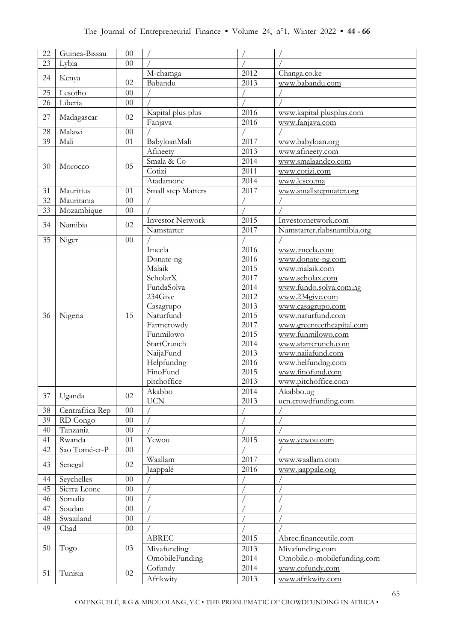| 22 | Guinea-Bissau   | 00     |                         |      |                             |
|----|-----------------|--------|-------------------------|------|-----------------------------|
| 23 | Lybia           | $00\,$ |                         |      |                             |
|    |                 |        | M-chamga                | 2012 | Changa.co.ke                |
| 24 | Kenya           | 02     | Babandu                 | 2013 | www.babandu.com             |
| 25 | Lesotho         | 00     |                         |      |                             |
| 26 | Liberia         | $00\,$ |                         |      |                             |
|    |                 |        | Kapital plus plus       | 2016 | www.kapital plusplus.com    |
| 27 | Madagascar      | 02     | Fanjava                 | 2016 | www.fanjava.com             |
| 28 | Malawi          | 00     |                         |      |                             |
| 39 | Mali            | 01     | BabyloanMali            | 2017 | www.babyloan.org            |
|    |                 |        | Afineety                | 2013 | www.afineety.com            |
|    |                 |        | Smala & Co              | 2014 | www.smalaandco.com          |
| 30 | Morocco         | 05     | Cotizi                  | 2011 |                             |
|    |                 |        |                         |      | www.cotizi.com              |
|    |                 |        | Atadamone               | 2014 | www.lesco.ma                |
| 31 | Mauritius       | 01     | Small step Matters      | 2017 | www.smallstepmater.org      |
| 32 | Mauritania      | $00\,$ |                         |      |                             |
| 33 | Mozambique      | $00\,$ |                         |      |                             |
| 34 | Namibia         | 02     | <b>Investor Network</b> | 2015 | Investornetwork.com         |
|    |                 |        | Namstarter              | 2017 | Namstarter.rlabsnamibia.org |
| 35 | Niger           | $00\,$ |                         |      |                             |
|    |                 |        | Imeela                  | 2016 | www.imeela.com              |
|    |                 |        | Donate-ng               | 2016 | www.donate-ng.com           |
|    |                 |        | Malaik                  | 2015 | www.malaik.com              |
|    |                 |        | ScholarX                | 2017 | www.scholax.com             |
|    |                 |        | FundaSolva              | 2014 | www.fundo.solva.com.ng      |
|    |                 |        | 234Give                 | 2012 | www.234give.com             |
|    |                 |        | Casagrupo               | 2013 | www.casagrupo.com           |
| 36 | Nigeria         | 15     | Naturfund               | 2015 | www.naturfund.com           |
|    |                 |        | Farmcrowdy              | 2017 | www.greentecthcapital.com   |
|    |                 |        | Funmilowo               | 2015 | www.funmilowo.com           |
|    |                 |        | StartCrunch             | 2014 | www.startcrunch.com         |
|    |                 |        | NaijaFund               | 2013 | www.naijafund.com           |
|    |                 |        | Helpfundng              | 2016 | www.helfundng.com           |
|    |                 |        | FinoFund                | 2015 | www.finofund.com            |
|    |                 |        | pitchoffice             | 2013 | www.pitchoffice.com         |
|    |                 |        | Akabbo                  | 2014 | Akabbo.ug                   |
| 37 | Uganda          | 02     | <b>UCN</b>              | 2013 | ucn.crowdfunding.com        |
| 38 | Centrafrica Rep | 00     |                         |      |                             |
| 39 | RD Congo        | $00\,$ |                         |      |                             |
| 40 | Tanzania        | $00\,$ |                         |      |                             |
| 41 | Rwanda          | 01     | Yewou                   | 2015 |                             |
| 42 | Sao Tomé-et-P   | $00\,$ |                         |      | www.yewou.com               |
|    |                 |        | Waallam                 | 2017 |                             |
| 43 | Senegal         | 02     |                         |      | www.waallam.com             |
|    |                 |        | Jaappalé                | 2016 | www.jaappale.org            |
| 44 | Seychelles      | $00\,$ |                         |      |                             |
| 45 | Sierra Leone    | $00\,$ |                         |      |                             |
| 46 | Somalia         | $00\,$ |                         |      |                             |
| 47 | Soudan          | 00     |                         |      |                             |
| 48 | Swaziland       | $00\,$ |                         |      |                             |
| 49 | Chad            | $00\,$ |                         |      |                             |
|    |                 |        | <b>ABREC</b>            | 2015 | Abrec.financeutile.com      |
| 50 | Togo            | 03     | Mivafunding             | 2013 | Mivafunding.com             |
|    |                 |        | OmobileFunding          | 2014 | Omobile.o-mobilefunding.com |
|    |                 |        | Cofundy                 | 2014 | www.cofundy.com             |
| 51 | Tunisia         | $02\,$ | Afrikwity               | 2013 | www.afrikwity.com           |